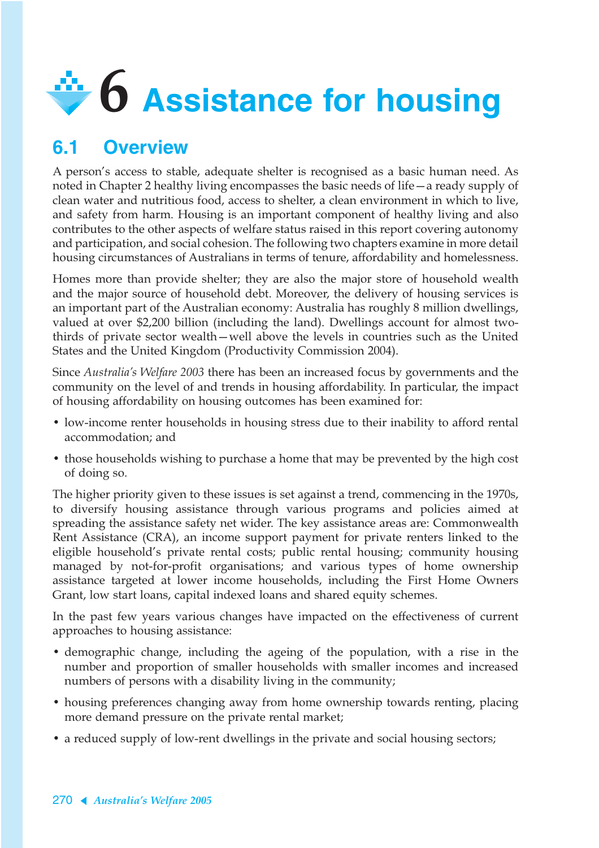

# **6.1 Overview**

A person's access to stable, adequate shelter is recognised as a basic human need. As noted in Chapter 2 healthy living encompasses the basic needs of life—a ready supply of clean water and nutritious food, access to shelter, a clean environment in which to live, and safety from harm. Housing is an important component of healthy living and also contributes to the other aspects of welfare status raised in this report covering autonomy and participation, and social cohesion. The following two chapters examine in more detail housing circumstances of Australians in terms of tenure, affordability and homelessness.

Homes more than provide shelter; they are also the major store of household wealth and the major source of household debt. Moreover, the delivery of housing services is an important part of the Australian economy: Australia has roughly 8 million dwellings, valued at over \$2,200 billion (including the land). Dwellings account for almost twothirds of private sector wealth—well above the levels in countries such as the United States and the United Kingdom (Productivity Commission 2004).

Since *Australia's Welfare 2003* there has been an increased focus by governments and the community on the level of and trends in housing affordability. In particular, the impact of housing affordability on housing outcomes has been examined for:

- low-income renter households in housing stress due to their inability to afford rental accommodation; and
- those households wishing to purchase a home that may be prevented by the high cost of doing so.

The higher priority given to these issues is set against a trend, commencing in the 1970s, to diversify housing assistance through various programs and policies aimed at spreading the assistance safety net wider. The key assistance areas are: Commonwealth Rent Assistance (CRA), an income support payment for private renters linked to the eligible household's private rental costs; public rental housing; community housing managed by not-for-profit organisations; and various types of home ownership assistance targeted at lower income households, including the First Home Owners Grant, low start loans, capital indexed loans and shared equity schemes.

In the past few years various changes have impacted on the effectiveness of current approaches to housing assistance:

- demographic change, including the ageing of the population, with a rise in the number and proportion of smaller households with smaller incomes and increased numbers of persons with a disability living in the community;
- housing preferences changing away from home ownership towards renting, placing more demand pressure on the private rental market;
- a reduced supply of low-rent dwellings in the private and social housing sectors;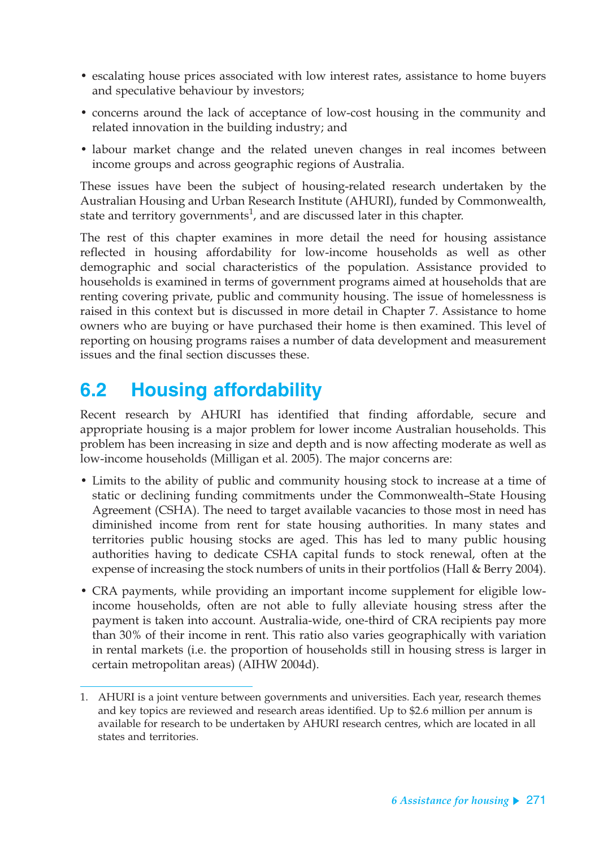- escalating house prices associated with low interest rates, assistance to home buyers and speculative behaviour by investors;
- concerns around the lack of acceptance of low-cost housing in the community and related innovation in the building industry; and
- labour market change and the related uneven changes in real incomes between income groups and across geographic regions of Australia.

These issues have been the subject of housing-related research undertaken by the Australian Housing and Urban Research Institute (AHURI), funded by Commonwealth, state and territory governments<sup>1</sup>, and are discussed later in this chapter.

The rest of this chapter examines in more detail the need for housing assistance reflected in housing affordability for low-income households as well as other demographic and social characteristics of the population. Assistance provided to households is examined in terms of government programs aimed at households that are renting covering private, public and community housing. The issue of homelessness is raised in this context but is discussed in more detail in Chapter 7. Assistance to home owners who are buying or have purchased their home is then examined. This level of reporting on housing programs raises a number of data development and measurement issues and the final section discusses these.

# **6.2 Housing affordability**

Recent research by AHURI has identified that finding affordable, secure and appropriate housing is a major problem for lower income Australian households. This problem has been increasing in size and depth and is now affecting moderate as well as low-income households (Milligan et al. 2005). The major concerns are:

- Limits to the ability of public and community housing stock to increase at a time of static or declining funding commitments under the Commonwealth–State Housing Agreement (CSHA). The need to target available vacancies to those most in need has diminished income from rent for state housing authorities. In many states and territories public housing stocks are aged. This has led to many public housing authorities having to dedicate CSHA capital funds to stock renewal, often at the expense of increasing the stock numbers of units in their portfolios (Hall & Berry 2004).
- CRA payments, while providing an important income supplement for eligible lowincome households, often are not able to fully alleviate housing stress after the payment is taken into account. Australia-wide, one-third of CRA recipients pay more than 30% of their income in rent. This ratio also varies geographically with variation in rental markets (i.e. the proportion of households still in housing stress is larger in certain metropolitan areas) (AIHW 2004d).

<sup>1.</sup> AHURI is a joint venture between governments and universities. Each year, research themes and key topics are reviewed and research areas identified. Up to \$2.6 million per annum is available for research to be undertaken by AHURI research centres, which are located in all states and territories.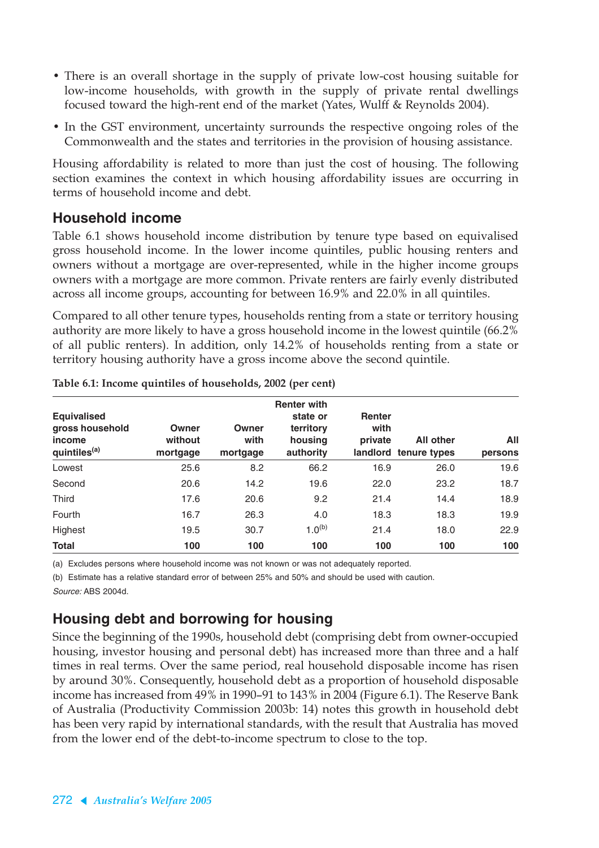- There is an overall shortage in the supply of private low-cost housing suitable for low-income households, with growth in the supply of private rental dwellings focused toward the high-rent end of the market (Yates, Wulff & Reynolds 2004).
- In the GST environment, uncertainty surrounds the respective ongoing roles of the Commonwealth and the states and territories in the provision of housing assistance.

Housing affordability is related to more than just the cost of housing. The following section examines the context in which housing affordability issues are occurring in terms of household income and debt.

#### **Household income**

Table 6.1 shows household income distribution by tenure type based on equivalised gross household income. In the lower income quintiles, public housing renters and owners without a mortgage are over-represented, while in the higher income groups owners with a mortgage are more common. Private renters are fairly evenly distributed across all income groups, accounting for between 16.9% and 22.0% in all quintiles.

Compared to all other tenure types, households renting from a state or territory housing authority are more likely to have a gross household income in the lowest quintile (66.2% of all public renters). In addition, only 14.2% of households renting from a state or territory housing authority have a gross income above the second quintile.

| <b>Equivalised</b><br>gross household<br>income<br>quintiles <sup>(a)</sup> | Owner<br>without<br>mortgage | Owner<br>with<br>mortgage | <b>Renter with</b><br>state or<br>territory<br>housing<br>authority | <b>Renter</b><br>with<br>private | <b>All other</b><br>landlord tenure types | All<br>persons |
|-----------------------------------------------------------------------------|------------------------------|---------------------------|---------------------------------------------------------------------|----------------------------------|-------------------------------------------|----------------|
| Lowest                                                                      | 25.6                         | 8.2                       | 66.2                                                                | 16.9                             | 26.0                                      | 19.6           |
| Second                                                                      | 20.6                         | 14.2                      | 19.6                                                                | 22.0                             | 23.2                                      | 18.7           |
| Third                                                                       | 17.6                         | 20.6                      | 9.2                                                                 | 21.4                             | 14.4                                      | 18.9           |
| Fourth                                                                      | 16.7                         | 26.3                      | 4.0                                                                 | 18.3                             | 18.3                                      | 19.9           |
| Highest                                                                     | 19.5                         | 30.7                      | $1.0^{(b)}$                                                         | 21.4                             | 18.0                                      | 22.9           |
| <b>Total</b>                                                                | 100                          | 100                       | 100                                                                 | 100                              | 100                                       | 100            |

| Table 6.1: Income quintiles of households, 2002 (per cent) |  |  |  |  |
|------------------------------------------------------------|--|--|--|--|
|------------------------------------------------------------|--|--|--|--|

(a) Excludes persons where household income was not known or was not adequately reported.

(b) Estimate has a relative standard error of between 25% and 50% and should be used with caution. Source: ABS 2004d.

## **Housing debt and borrowing for housing**

Since the beginning of the 1990s, household debt (comprising debt from owner-occupied housing, investor housing and personal debt) has increased more than three and a half times in real terms. Over the same period, real household disposable income has risen by around 30%. Consequently, household debt as a proportion of household disposable income has increased from 49% in 1990–91 to 143% in 2004 (Figure 6.1). The Reserve Bank of Australia (Productivity Commission 2003b: 14) notes this growth in household debt has been very rapid by international standards, with the result that Australia has moved from the lower end of the debt-to-income spectrum to close to the top.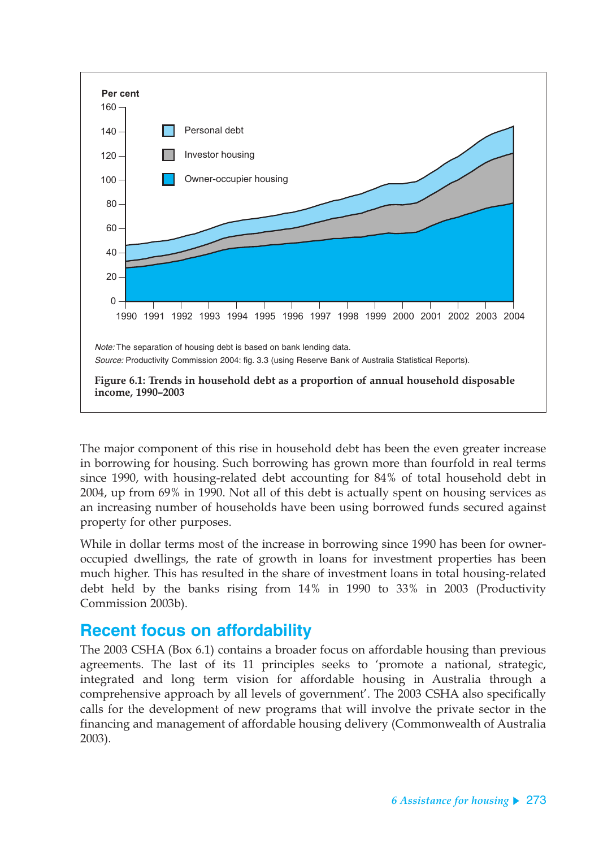

The major component of this rise in household debt has been the even greater increase in borrowing for housing. Such borrowing has grown more than fourfold in real terms since 1990, with housing-related debt accounting for 84% of total household debt in 2004, up from 69% in 1990. Not all of this debt is actually spent on housing services as an increasing number of households have been using borrowed funds secured against property for other purposes.

While in dollar terms most of the increase in borrowing since 1990 has been for owneroccupied dwellings, the rate of growth in loans for investment properties has been much higher. This has resulted in the share of investment loans in total housing-related debt held by the banks rising from 14% in 1990 to 33% in 2003 (Productivity Commission 2003b).

## **Recent focus on affordability**

The 2003 CSHA (Box 6.1) contains a broader focus on affordable housing than previous agreements. The last of its 11 principles seeks to 'promote a national, strategic, integrated and long term vision for affordable housing in Australia through a comprehensive approach by all levels of government'. The 2003 CSHA also specifically calls for the development of new programs that will involve the private sector in the financing and management of affordable housing delivery (Commonwealth of Australia 2003).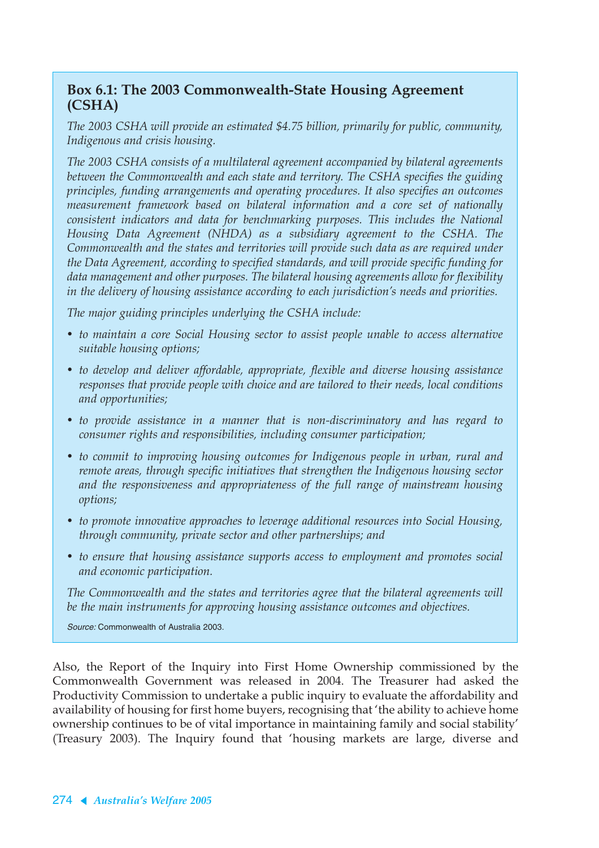#### **Box 6.1: The 2003 Commonwealth-State Housing Agreement (CSHA)**

*The 2003 CSHA will provide an estimated \$4.75 billion, primarily for public, community, Indigenous and crisis housing.*

*The 2003 CSHA consists of a multilateral agreement accompanied by bilateral agreements between the Commonwealth and each state and territory. The CSHA specifies the guiding principles, funding arrangements and operating procedures. It also specifies an outcomes measurement framework based on bilateral information and a core set of nationally consistent indicators and data for benchmarking purposes. This includes the National Housing Data Agreement (NHDA) as a subsidiary agreement to the CSHA. The Commonwealth and the states and territories will provide such data as are required under the Data Agreement, according to specified standards, and will provide specific funding for data management and other purposes. The bilateral housing agreements allow for flexibility in the delivery of housing assistance according to each jurisdiction's needs and priorities.*

*The major guiding principles underlying the CSHA include:*

- *to maintain a core Social Housing sector to assist people unable to access alternative suitable housing options;*
- *to develop and deliver affordable, appropriate, flexible and diverse housing assistance responses that provide people with choice and are tailored to their needs, local conditions and opportunities;*
- *to provide assistance in a manner that is non-discriminatory and has regard to consumer rights and responsibilities, including consumer participation;*
- *to commit to improving housing outcomes for Indigenous people in urban, rural and remote areas, through specific initiatives that strengthen the Indigenous housing sector and the responsiveness and appropriateness of the full range of mainstream housing options;*
- *to promote innovative approaches to leverage additional resources into Social Housing, through community, private sector and other partnerships; and*
- *to ensure that housing assistance supports access to employment and promotes social and economic participation.*

*The Commonwealth and the states and territories agree that the bilateral agreements will be the main instruments for approving housing assistance outcomes and objectives.*

Source: Commonwealth of Australia 2003.

Also, the Report of the Inquiry into First Home Ownership commissioned by the Commonwealth Government was released in 2004. The Treasurer had asked the Productivity Commission to undertake a public inquiry to evaluate the affordability and availability of housing for first home buyers, recognising that 'the ability to achieve home ownership continues to be of vital importance in maintaining family and social stability' (Treasury 2003). The Inquiry found that 'housing markets are large, diverse and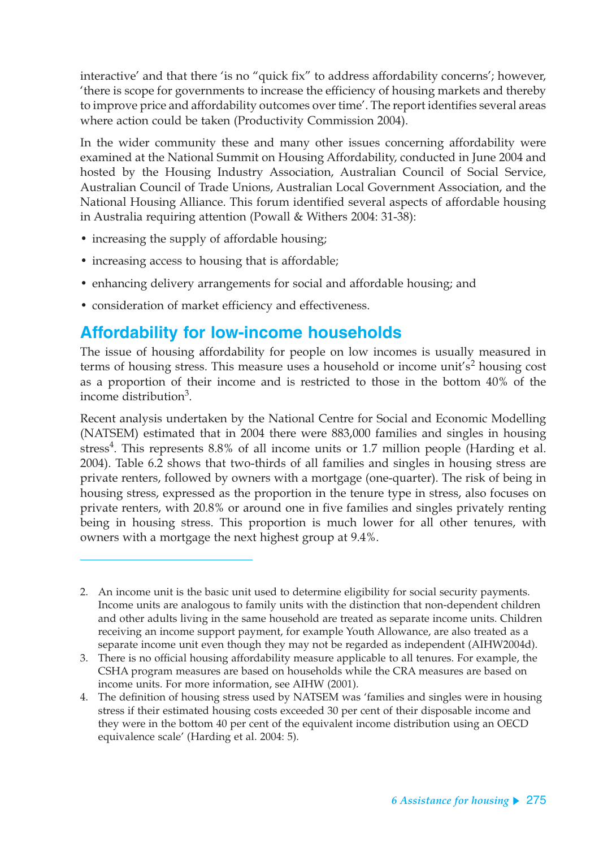interactive' and that there 'is no "quick fix" to address affordability concerns'; however, 'there is scope for governments to increase the efficiency of housing markets and thereby to improve price and affordability outcomes over time'. The report identifies several areas where action could be taken (Productivity Commission 2004).

In the wider community these and many other issues concerning affordability were examined at the National Summit on Housing Affordability, conducted in June 2004 and hosted by the Housing Industry Association, Australian Council of Social Service, Australian Council of Trade Unions, Australian Local Government Association, and the National Housing Alliance. This forum identified several aspects of affordable housing in Australia requiring attention (Powall & Withers 2004: 31-38):

- increasing the supply of affordable housing;
- increasing access to housing that is affordable;
- enhancing delivery arrangements for social and affordable housing; and
- consideration of market efficiency and effectiveness.

## **Affordability for low-income households**

The issue of housing affordability for people on low incomes is usually measured in terms of housing stress. This measure uses a household or income unit's<sup>2</sup> housing cost as a proportion of their income and is restricted to those in the bottom 40% of the income distribution<sup>3</sup>.

Recent analysis undertaken by the National Centre for Social and Economic Modelling (NATSEM) estimated that in 2004 there were 883,000 families and singles in housing stress<sup>4</sup>. This represents  $8.8\%$  of all income units or 1.7 million people (Harding et al. 2004). Table 6.2 shows that two-thirds of all families and singles in housing stress are private renters, followed by owners with a mortgage (one-quarter). The risk of being in housing stress, expressed as the proportion in the tenure type in stress, also focuses on private renters, with 20.8% or around one in five families and singles privately renting being in housing stress. This proportion is much lower for all other tenures, with owners with a mortgage the next highest group at 9.4%.

<sup>2.</sup> An income unit is the basic unit used to determine eligibility for social security payments. Income units are analogous to family units with the distinction that non-dependent children and other adults living in the same household are treated as separate income units. Children receiving an income support payment, for example Youth Allowance, are also treated as a separate income unit even though they may not be regarded as independent (AIHW2004d).

<sup>3.</sup> There is no official housing affordability measure applicable to all tenures. For example, the CSHA program measures are based on households while the CRA measures are based on income units. For more information, see AIHW (2001).

<sup>4.</sup> The definition of housing stress used by NATSEM was 'families and singles were in housing stress if their estimated housing costs exceeded 30 per cent of their disposable income and they were in the bottom 40 per cent of the equivalent income distribution using an OECD equivalence scale' (Harding et al. 2004: 5).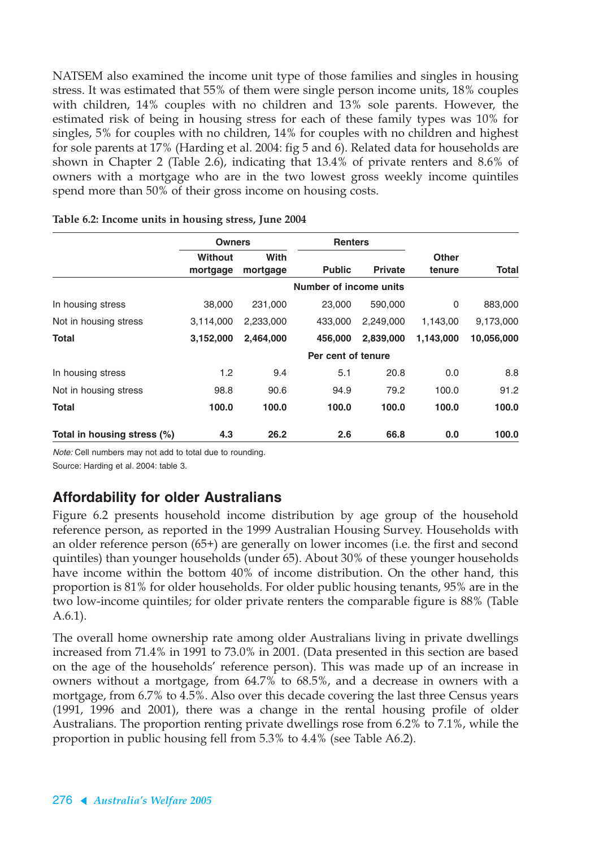NATSEM also examined the income unit type of those families and singles in housing stress. It was estimated that 55% of them were single person income units, 18% couples with children, 14% couples with no children and 13% sole parents. However, the estimated risk of being in housing stress for each of these family types was 10% for singles, 5% for couples with no children, 14% for couples with no children and highest for sole parents at 17% (Harding et al. 2004: fig 5 and 6). Related data for households are shown in Chapter 2 (Table 2.6), indicating that 13.4% of private renters and 8.6% of owners with a mortgage who are in the two lowest gross weekly income quintiles spend more than 50% of their gross income on housing costs.

|                             | <b>Owners</b>       |                  |                        | <b>Renters</b> |                        |            |
|-----------------------------|---------------------|------------------|------------------------|----------------|------------------------|------------|
|                             | Without<br>mortgage | With<br>mortgage | <b>Public</b>          | <b>Private</b> | <b>Other</b><br>tenure | Total      |
|                             |                     |                  | Number of income units |                |                        |            |
| In housing stress           | 38,000              | 231,000          | 23,000                 | 590,000        | 0                      | 883,000    |
| Not in housing stress       | 3,114,000           | 2,233,000        | 433,000                | 2.249.000      | 1,143,00               | 9,173,000  |
| <b>Total</b>                | 3,152,000           | 2,464,000        | 456,000                | 2,839,000      | 1,143,000              | 10,056,000 |
|                             |                     |                  | Per cent of tenure     |                |                        |            |
| In housing stress           | 1.2                 | 9.4              | 5.1                    | 20.8           | 0.0                    | 8.8        |
| Not in housing stress       | 98.8                | 90.6             | 94.9                   | 79.2           | 100.0                  | 91.2       |
| Total                       | 100.0               | 100.0            | 100.0                  | 100.0          | 100.0                  | 100.0      |
| Total in housing stress (%) | 4.3                 | 26.2             | 2.6                    | 66.8           | 0.0                    | 100.0      |

| Table 6.2: Income units in housing stress, June 2004 |  |  |  |  |  |  |  |
|------------------------------------------------------|--|--|--|--|--|--|--|
|------------------------------------------------------|--|--|--|--|--|--|--|

Note: Cell numbers may not add to total due to rounding. Source: Harding et al. 2004: table 3.

### **Affordability for older Australians**

Figure 6.2 presents household income distribution by age group of the household reference person, as reported in the 1999 Australian Housing Survey. Households with an older reference person (65+) are generally on lower incomes (i.e. the first and second quintiles) than younger households (under 65). About 30% of these younger households have income within the bottom 40% of income distribution. On the other hand, this proportion is 81% for older households. For older public housing tenants, 95% are in the two low-income quintiles; for older private renters the comparable figure is 88% (Table A.6.1).

The overall home ownership rate among older Australians living in private dwellings increased from 71.4% in 1991 to 73.0% in 2001. (Data presented in this section are based on the age of the households' reference person). This was made up of an increase in owners without a mortgage, from 64.7% to 68.5%, and a decrease in owners with a mortgage, from 6.7% to 4.5%. Also over this decade covering the last three Census years (1991, 1996 and 2001), there was a change in the rental housing profile of older Australians. The proportion renting private dwellings rose from 6.2% to 7.1%, while the proportion in public housing fell from 5.3% to 4.4% (see Table A6.2).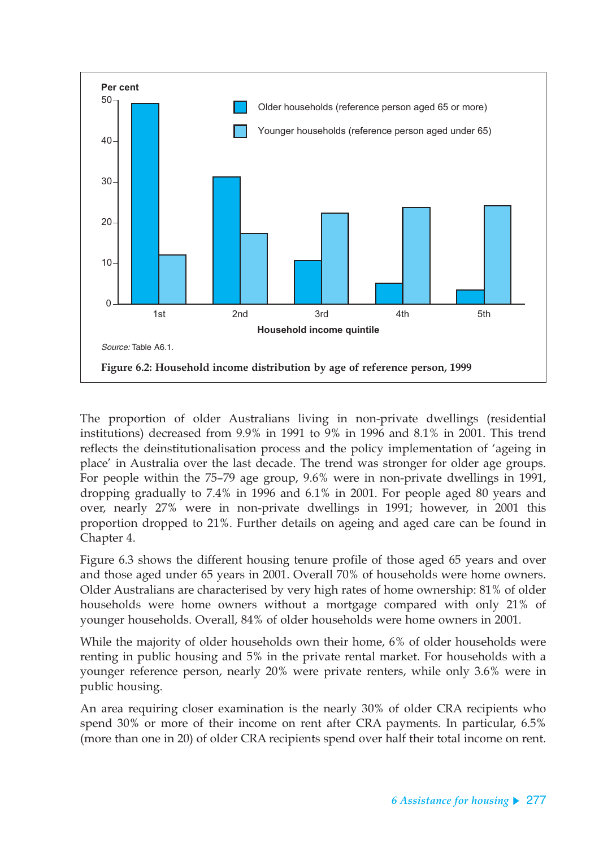

The proportion of older Australians living in non-private dwellings (residential institutions) decreased from 9.9% in 1991 to 9% in 1996 and 8.1% in 2001. This trend reflects the deinstitutionalisation process and the policy implementation of 'ageing in place' in Australia over the last decade. The trend was stronger for older age groups. For people within the 75–79 age group, 9.6% were in non-private dwellings in 1991, dropping gradually to 7.4% in 1996 and 6.1% in 2001. For people aged 80 years and over, nearly 27% were in non-private dwellings in 1991; however, in 2001 this proportion dropped to 21%. Further details on ageing and aged care can be found in Chapter 4.

Figure 6.3 shows the different housing tenure profile of those aged 65 years and over and those aged under 65 years in 2001. Overall 70% of households were home owners. Older Australians are characterised by very high rates of home ownership: 81% of older households were home owners without a mortgage compared with only 21% of younger households. Overall, 84% of older households were home owners in 2001.

While the majority of older households own their home, 6% of older households were renting in public housing and 5% in the private rental market. For households with a younger reference person, nearly 20% were private renters, while only 3.6% were in public housing.

An area requiring closer examination is the nearly 30% of older CRA recipients who spend 30% or more of their income on rent after CRA payments. In particular, 6.5% (more than one in 20) of older CRA recipients spend over half their total income on rent.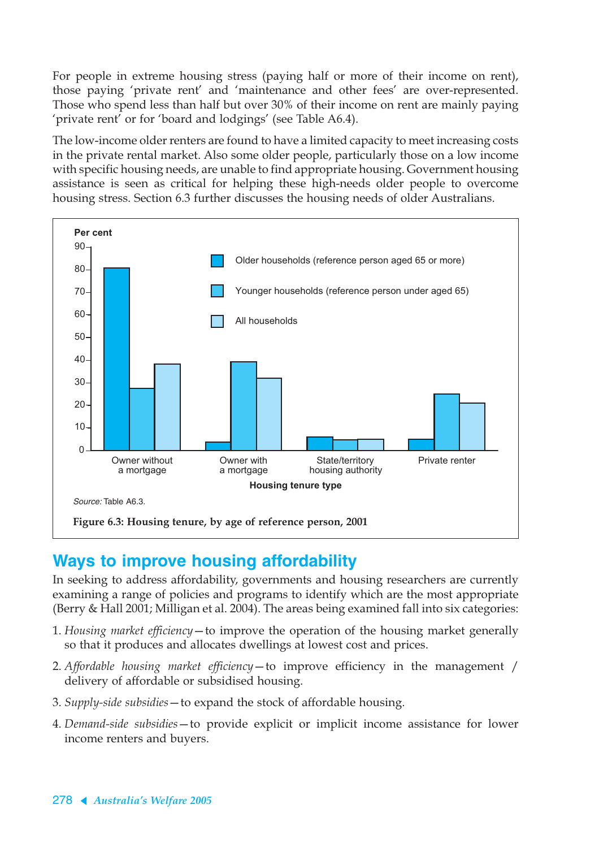For people in extreme housing stress (paying half or more of their income on rent), those paying 'private rent' and 'maintenance and other fees' are over-represented. Those who spend less than half but over 30% of their income on rent are mainly paying 'private rent' or for 'board and lodgings' (see Table A6.4).

The low-income older renters are found to have a limited capacity to meet increasing costs in the private rental market. Also some older people, particularly those on a low income with specific housing needs, are unable to find appropriate housing. Government housing assistance is seen as critical for helping these high-needs older people to overcome housing stress. Section 6.3 further discusses the housing needs of older Australians.



## **Ways to improve housing affordability**

In seeking to address affordability, governments and housing researchers are currently examining a range of policies and programs to identify which are the most appropriate (Berry & Hall 2001; Milligan et al. 2004). The areas being examined fall into six categories:

- 1. *Housing market efficiency*—to improve the operation of the housing market generally so that it produces and allocates dwellings at lowest cost and prices.
- 2. *Affordable housing market efficiency*—to improve efficiency in the management / delivery of affordable or subsidised housing.
- 3. *Supply-side subsidies*—to expand the stock of affordable housing.
- 4. *Demand-side subsidies*—to provide explicit or implicit income assistance for lower income renters and buyers.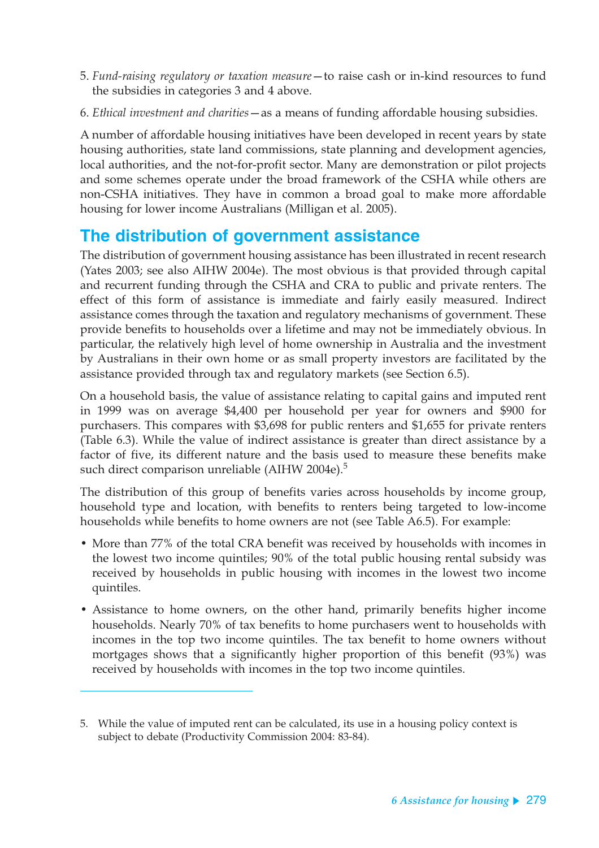- 5. *Fund-raising regulatory or taxation measure*—to raise cash or in-kind resources to fund the subsidies in categories 3 and 4 above.
- 6. *Ethical investment and charities*—as a means of funding affordable housing subsidies.

A number of affordable housing initiatives have been developed in recent years by state housing authorities, state land commissions, state planning and development agencies, local authorities, and the not-for-profit sector. Many are demonstration or pilot projects and some schemes operate under the broad framework of the CSHA while others are non-CSHA initiatives. They have in common a broad goal to make more affordable housing for lower income Australians (Milligan et al. 2005).

## **The distribution of government assistance**

The distribution of government housing assistance has been illustrated in recent research (Yates 2003; see also AIHW 2004e). The most obvious is that provided through capital and recurrent funding through the CSHA and CRA to public and private renters. The effect of this form of assistance is immediate and fairly easily measured. Indirect assistance comes through the taxation and regulatory mechanisms of government. These provide benefits to households over a lifetime and may not be immediately obvious. In particular, the relatively high level of home ownership in Australia and the investment by Australians in their own home or as small property investors are facilitated by the assistance provided through tax and regulatory markets (see Section 6.5).

On a household basis, the value of assistance relating to capital gains and imputed rent in 1999 was on average \$4,400 per household per year for owners and \$900 for purchasers. This compares with \$3,698 for public renters and \$1,655 for private renters (Table 6.3). While the value of indirect assistance is greater than direct assistance by a factor of five, its different nature and the basis used to measure these benefits make such direct comparison unreliable (AIHW 2004e). $5$ 

The distribution of this group of benefits varies across households by income group, household type and location, with benefits to renters being targeted to low-income households while benefits to home owners are not (see Table A6.5). For example:

- More than 77% of the total CRA benefit was received by households with incomes in the lowest two income quintiles; 90% of the total public housing rental subsidy was received by households in public housing with incomes in the lowest two income quintiles.
- Assistance to home owners, on the other hand, primarily benefits higher income households. Nearly 70% of tax benefits to home purchasers went to households with incomes in the top two income quintiles. The tax benefit to home owners without mortgages shows that a significantly higher proportion of this benefit (93%) was received by households with incomes in the top two income quintiles.

<sup>5.</sup> While the value of imputed rent can be calculated, its use in a housing policy context is subject to debate (Productivity Commission 2004: 83-84).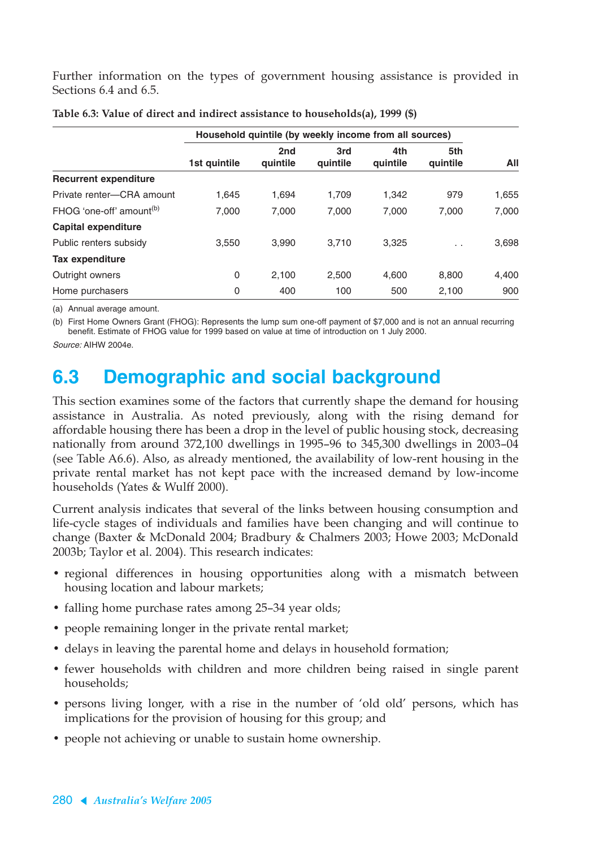Further information on the types of government housing assistance is provided in Sections 6.4 and 6.5.

|                                      |              | Household quintile (by weekly income from all sources) |                 |                 |                      |       |  |  |
|--------------------------------------|--------------|--------------------------------------------------------|-----------------|-----------------|----------------------|-------|--|--|
|                                      | 1st quintile | 2nd<br>quintile                                        | 3rd<br>quintile | 4th<br>quintile | 5th<br>quintile      | All   |  |  |
| <b>Recurrent expenditure</b>         |              |                                                        |                 |                 |                      |       |  |  |
| Private renter-CRA amount            | 1,645        | 1,694                                                  | 1,709           | 1,342           | 979                  | 1,655 |  |  |
| FHOG 'one-off' amount <sup>(b)</sup> | 7.000        | 7.000                                                  | 7.000           | 7.000           | 7.000                | 7,000 |  |  |
| <b>Capital expenditure</b>           |              |                                                        |                 |                 |                      |       |  |  |
| Public renters subsidy               | 3,550        | 3.990                                                  | 3,710           | 3.325           | $\ddot{\phantom{0}}$ | 3,698 |  |  |
| Tax expenditure                      |              |                                                        |                 |                 |                      |       |  |  |
| Outright owners                      | 0            | 2,100                                                  | 2,500           | 4,600           | 8,800                | 4,400 |  |  |
| Home purchasers                      | 0            | 400                                                    | 100             | 500             | 2,100                | 900   |  |  |

| Table 6.3: Value of direct and indirect assistance to households(a), 1999 (\$) |  |  |  |  |  |  |
|--------------------------------------------------------------------------------|--|--|--|--|--|--|
|--------------------------------------------------------------------------------|--|--|--|--|--|--|

(a) Annual average amount.

(b) First Home Owners Grant (FHOG): Represents the lump sum one-off payment of \$7,000 and is not an annual recurring benefit. Estimate of FHOG value for 1999 based on value at time of introduction on 1 July 2000.

Source: AIHW 2004e.

# **6.3 Demographic and social background**

This section examines some of the factors that currently shape the demand for housing assistance in Australia. As noted previously, along with the rising demand for affordable housing there has been a drop in the level of public housing stock, decreasing nationally from around 372,100 dwellings in 1995–96 to 345,300 dwellings in 2003–04 (see Table A6.6). Also, as already mentioned, the availability of low-rent housing in the private rental market has not kept pace with the increased demand by low-income households (Yates & Wulff 2000).

Current analysis indicates that several of the links between housing consumption and life-cycle stages of individuals and families have been changing and will continue to change (Baxter & McDonald 2004; Bradbury & Chalmers 2003; Howe 2003; McDonald 2003b; Taylor et al. 2004). This research indicates:

- regional differences in housing opportunities along with a mismatch between housing location and labour markets;
- falling home purchase rates among 25-34 year olds;
- people remaining longer in the private rental market;
- delays in leaving the parental home and delays in household formation;
- fewer households with children and more children being raised in single parent households;
- persons living longer, with a rise in the number of 'old old' persons, which has implications for the provision of housing for this group; and
- people not achieving or unable to sustain home ownership.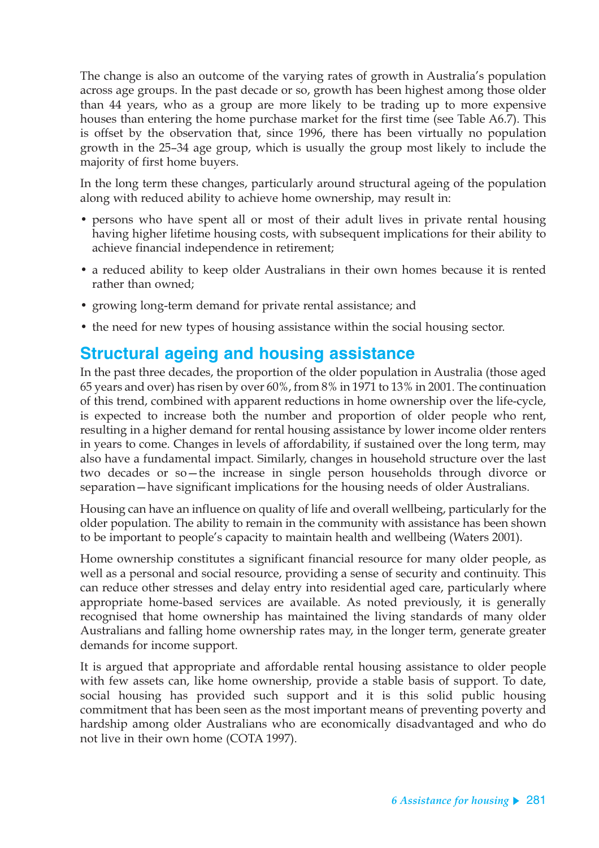The change is also an outcome of the varying rates of growth in Australia's population across age groups. In the past decade or so, growth has been highest among those older than 44 years, who as a group are more likely to be trading up to more expensive houses than entering the home purchase market for the first time (see Table A6.7). This is offset by the observation that, since 1996, there has been virtually no population growth in the 25–34 age group, which is usually the group most likely to include the majority of first home buyers.

In the long term these changes, particularly around structural ageing of the population along with reduced ability to achieve home ownership, may result in:

- persons who have spent all or most of their adult lives in private rental housing having higher lifetime housing costs, with subsequent implications for their ability to achieve financial independence in retirement;
- a reduced ability to keep older Australians in their own homes because it is rented rather than owned;
- growing long-term demand for private rental assistance; and
- the need for new types of housing assistance within the social housing sector.

## **Structural ageing and housing assistance**

In the past three decades, the proportion of the older population in Australia (those aged 65 years and over) has risen by over 60%, from 8% in 1971 to 13% in 2001. The continuation of this trend, combined with apparent reductions in home ownership over the life-cycle, is expected to increase both the number and proportion of older people who rent, resulting in a higher demand for rental housing assistance by lower income older renters in years to come. Changes in levels of affordability, if sustained over the long term, may also have a fundamental impact. Similarly, changes in household structure over the last two decades or so—the increase in single person households through divorce or separation—have significant implications for the housing needs of older Australians.

Housing can have an influence on quality of life and overall wellbeing, particularly for the older population. The ability to remain in the community with assistance has been shown to be important to people's capacity to maintain health and wellbeing (Waters 2001).

Home ownership constitutes a significant financial resource for many older people, as well as a personal and social resource, providing a sense of security and continuity. This can reduce other stresses and delay entry into residential aged care, particularly where appropriate home-based services are available. As noted previously, it is generally recognised that home ownership has maintained the living standards of many older Australians and falling home ownership rates may, in the longer term, generate greater demands for income support.

It is argued that appropriate and affordable rental housing assistance to older people with few assets can, like home ownership, provide a stable basis of support. To date, social housing has provided such support and it is this solid public housing commitment that has been seen as the most important means of preventing poverty and hardship among older Australians who are economically disadvantaged and who do not live in their own home (COTA 1997).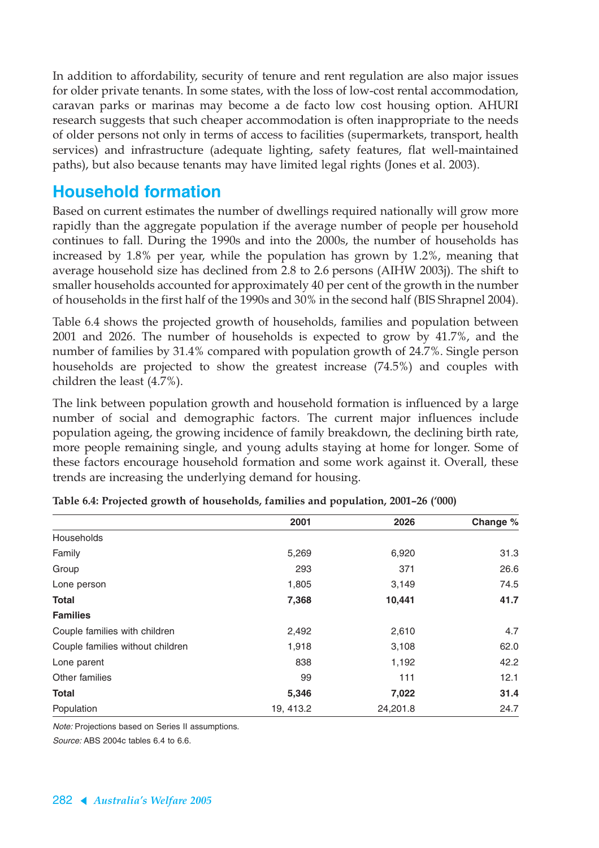In addition to affordability, security of tenure and rent regulation are also major issues for older private tenants. In some states, with the loss of low-cost rental accommodation, caravan parks or marinas may become a de facto low cost housing option. AHURI research suggests that such cheaper accommodation is often inappropriate to the needs of older persons not only in terms of access to facilities (supermarkets, transport, health services) and infrastructure (adequate lighting, safety features, flat well-maintained paths), but also because tenants may have limited legal rights (Jones et al. 2003).

## **Household formation**

Based on current estimates the number of dwellings required nationally will grow more rapidly than the aggregate population if the average number of people per household continues to fall. During the 1990s and into the 2000s, the number of households has increased by 1.8% per year, while the population has grown by 1.2%, meaning that average household size has declined from 2.8 to 2.6 persons (AIHW 2003j). The shift to smaller households accounted for approximately 40 per cent of the growth in the number of households in the first half of the 1990s and 30% in the second half (BIS Shrapnel 2004).

Table 6.4 shows the projected growth of households, families and population between 2001 and 2026. The number of households is expected to grow by 41.7%, and the number of families by 31.4% compared with population growth of 24.7%. Single person households are projected to show the greatest increase (74.5%) and couples with children the least (4.7%).

The link between population growth and household formation is influenced by a large number of social and demographic factors. The current major influences include population ageing, the growing incidence of family breakdown, the declining birth rate, more people remaining single, and young adults staying at home for longer. Some of these factors encourage household formation and some work against it. Overall, these trends are increasing the underlying demand for housing.

|                                  | 2001      | 2026     | Change % |
|----------------------------------|-----------|----------|----------|
| Households                       |           |          |          |
| Family                           | 5,269     | 6,920    | 31.3     |
| Group                            | 293       | 371      | 26.6     |
| Lone person                      | 1,805     | 3,149    | 74.5     |
| <b>Total</b>                     | 7,368     | 10,441   | 41.7     |
| <b>Families</b>                  |           |          |          |
| Couple families with children    | 2,492     | 2,610    | 4.7      |
| Couple families without children | 1,918     | 3,108    | 62.0     |
| Lone parent                      | 838       | 1,192    | 42.2     |
| Other families                   | 99        | 111      | 12.1     |
| <b>Total</b>                     | 5,346     | 7,022    | 31.4     |
| Population                       | 19, 413.2 | 24,201.8 | 24.7     |

**Table 6.4: Projected growth of households, families and population, 2001–26 ('000)**

Note: Projections based on Series II assumptions.

Source: ABS 2004c tables 6.4 to 6.6.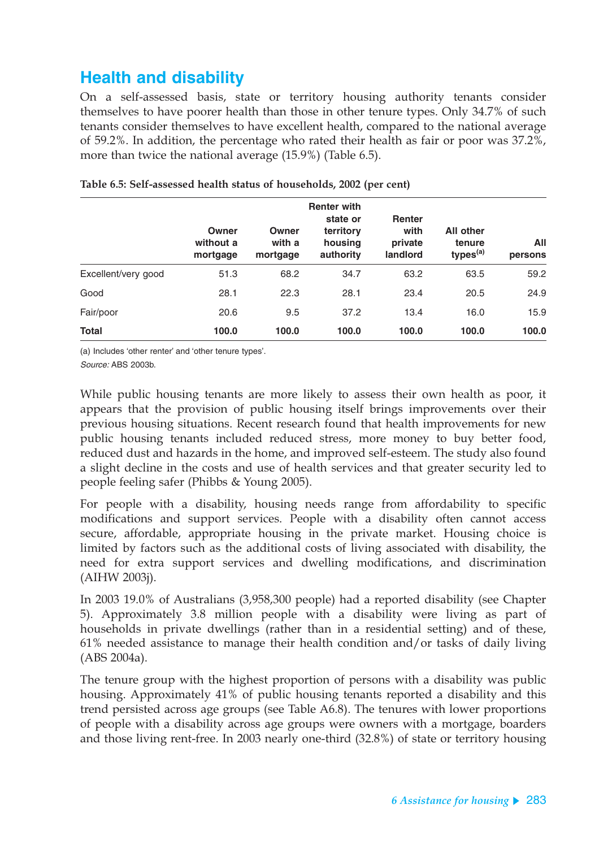# **Health and disability**

On a self-assessed basis, state or territory housing authority tenants consider themselves to have poorer health than those in other tenure types. Only 34.7% of such tenants consider themselves to have excellent health, compared to the national average of 59.2%. In addition, the percentage who rated their health as fair or poor was 37.2%, more than twice the national average (15.9%) (Table 6.5).

|                     | Owner<br>without a<br>mortgage | Owner<br>with a<br>mortgage | <b>Renter with</b><br>state or<br>territory<br>housing<br>authority | <b>Renter</b><br>with<br>private<br>landlord | <b>All other</b><br>tenure<br>types <sup>(a)</sup> | All<br>persons |
|---------------------|--------------------------------|-----------------------------|---------------------------------------------------------------------|----------------------------------------------|----------------------------------------------------|----------------|
| Excellent/very good | 51.3                           | 68.2                        | 34.7                                                                | 63.2                                         | 63.5                                               | 59.2           |
| Good                | 28.1                           | 22.3                        | 28.1                                                                | 23.4                                         | 20.5                                               | 24.9           |
| Fair/poor           | 20.6                           | 9.5                         | 37.2                                                                | 13.4                                         | 16.0                                               | 15.9           |
| <b>Total</b>        | 100.0                          | 100.0                       | 100.0                                                               | 100.0                                        | 100.0                                              | 100.0          |

| Table 6.5: Self-assessed health status of households, 2002 (per cent) |  |
|-----------------------------------------------------------------------|--|
|-----------------------------------------------------------------------|--|

(a) Includes 'other renter' and 'other tenure types'.

Source: ABS 2003b.

While public housing tenants are more likely to assess their own health as poor, it appears that the provision of public housing itself brings improvements over their previous housing situations. Recent research found that health improvements for new public housing tenants included reduced stress, more money to buy better food, reduced dust and hazards in the home, and improved self-esteem. The study also found a slight decline in the costs and use of health services and that greater security led to people feeling safer (Phibbs & Young 2005).

For people with a disability, housing needs range from affordability to specific modifications and support services. People with a disability often cannot access secure, affordable, appropriate housing in the private market. Housing choice is limited by factors such as the additional costs of living associated with disability, the need for extra support services and dwelling modifications, and discrimination (AIHW 2003j).

In 2003 19.0% of Australians (3,958,300 people) had a reported disability (see Chapter 5). Approximately 3.8 million people with a disability were living as part of households in private dwellings (rather than in a residential setting) and of these, 61% needed assistance to manage their health condition and/or tasks of daily living (ABS 2004a).

The tenure group with the highest proportion of persons with a disability was public housing. Approximately 41% of public housing tenants reported a disability and this trend persisted across age groups (see Table A6.8). The tenures with lower proportions of people with a disability across age groups were owners with a mortgage, boarders and those living rent-free. In 2003 nearly one-third (32.8%) of state or territory housing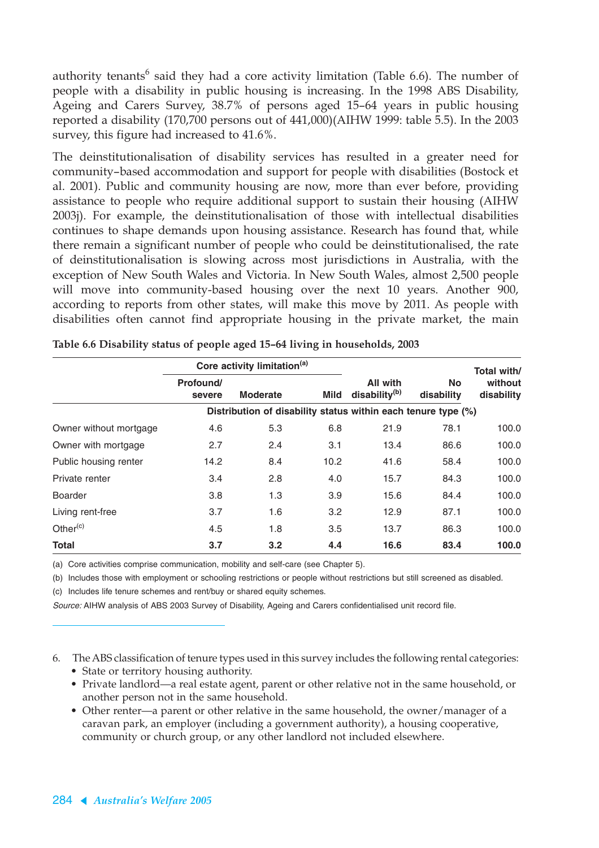authority tenants<sup>6</sup> said they had a core activity limitation (Table 6.6). The number of people with a disability in public housing is increasing. In the 1998 ABS Disability, Ageing and Carers Survey, 38.7% of persons aged 15–64 years in public housing reported a disability (170,700 persons out of 441,000)(AIHW 1999: table 5.5). In the 2003 survey, this figure had increased to 41.6%.

The deinstitutionalisation of disability services has resulted in a greater need for community–based accommodation and support for people with disabilities (Bostock et al. 2001). Public and community housing are now, more than ever before, providing assistance to people who require additional support to sustain their housing (AIHW 2003j). For example, the deinstitutionalisation of those with intellectual disabilities continues to shape demands upon housing assistance. Research has found that, while there remain a significant number of people who could be deinstitutionalised, the rate of deinstitutionalisation is slowing across most jurisdictions in Australia, with the exception of New South Wales and Victoria. In New South Wales, almost 2,500 people will move into community-based housing over the next 10 years. Another 900, according to reports from other states, will make this move by 2011. As people with disabilities often cannot find appropriate housing in the private market, the main

|                        | Core activity limitation <sup>(a)</sup> |                                                               |             |                                       |                         | Total with/           |
|------------------------|-----------------------------------------|---------------------------------------------------------------|-------------|---------------------------------------|-------------------------|-----------------------|
|                        | Profound/<br>severe                     | <b>Moderate</b>                                               | <b>Mild</b> | All with<br>disability <sup>(b)</sup> | <b>No</b><br>disability | without<br>disability |
|                        |                                         | Distribution of disability status within each tenure type (%) |             |                                       |                         |                       |
| Owner without mortgage | 4.6                                     | 5.3                                                           | 6.8         | 21.9                                  | 78.1                    | 100.0                 |
| Owner with mortgage    | 2.7                                     | 2.4                                                           | 3.1         | 13.4                                  | 86.6                    | 100.0                 |
| Public housing renter  | 14.2                                    | 8.4                                                           | 10.2        | 41.6                                  | 58.4                    | 100.0                 |
| Private renter         | 3.4                                     | 2.8                                                           | 4.0         | 15.7                                  | 84.3                    | 100.0                 |
| <b>Boarder</b>         | 3.8                                     | 1.3                                                           | 3.9         | 15.6                                  | 84.4                    | 100.0                 |
| Living rent-free       | 3.7                                     | 1.6                                                           | 3.2         | 12.9                                  | 87.1                    | 100.0                 |
| Other $(c)$            | 4.5                                     | 1.8                                                           | 3.5         | 13.7                                  | 86.3                    | 100.0                 |
| <b>Total</b>           | 3.7                                     | 3.2                                                           | 4.4         | 16.6                                  | 83.4                    | 100.0                 |

**Table 6.6 Disability status of people aged 15–64 living in households, 2003**

(a) Core activities comprise communication, mobility and self-care (see Chapter 5).

(b) Includes those with employment or schooling restrictions or people without restrictions but still screened as disabled.

(c) Includes life tenure schemes and rent/buy or shared equity schemes.

Source: AIHW analysis of ABS 2003 Survey of Disability, Ageing and Carers confidentialised unit record file.

- 6. The ABS classification of tenure types used in this survey includes the following rental categories:
	- State or territory housing authority.
	- Private landlord—a real estate agent, parent or other relative not in the same household, or another person not in the same household.
	- Other renter—a parent or other relative in the same household, the owner/manager of a caravan park, an employer (including a government authority), a housing cooperative, community or church group, or any other landlord not included elsewhere.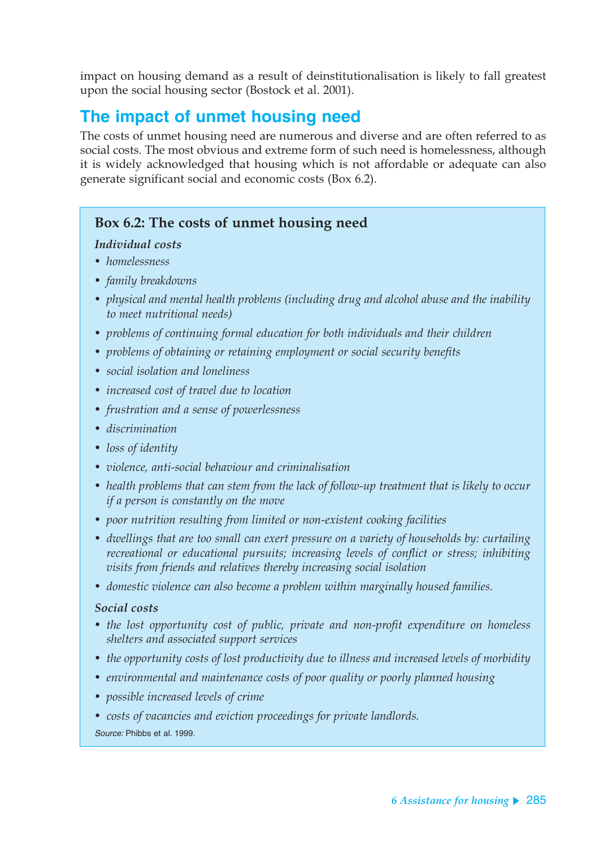impact on housing demand as a result of deinstitutionalisation is likely to fall greatest upon the social housing sector (Bostock et al. 2001).

## **The impact of unmet housing need**

The costs of unmet housing need are numerous and diverse and are often referred to as social costs. The most obvious and extreme form of such need is homelessness, although it is widely acknowledged that housing which is not affordable or adequate can also generate significant social and economic costs (Box 6.2).

### **Box 6.2: The costs of unmet housing need**

#### *Individual costs*

- *homelessness*
- *family breakdowns*
- *physical and mental health problems (including drug and alcohol abuse and the inability to meet nutritional needs)*
- *problems of continuing formal education for both individuals and their children*
- *problems of obtaining or retaining employment or social security benefits*
- *social isolation and loneliness*
- *increased cost of travel due to location*
- *frustration and a sense of powerlessness*
- *discrimination*
- *loss of identity*
- *violence, anti-social behaviour and criminalisation*
- *health problems that can stem from the lack of follow-up treatment that is likely to occur if a person is constantly on the move*
- *poor nutrition resulting from limited or non-existent cooking facilities*
- *dwellings that are too small can exert pressure on a variety of households by: curtailing recreational or educational pursuits; increasing levels of conflict or stress; inhibiting visits from friends and relatives thereby increasing social isolation*
- *domestic violence can also become a problem within marginally housed families.*

#### *Social costs*

- *the lost opportunity cost of public, private and non-profit expenditure on homeless shelters and associated support services*
- *the opportunity costs of lost productivity due to illness and increased levels of morbidity*
- *environmental and maintenance costs of poor quality or poorly planned housing*
- *possible increased levels of crime*
- *costs of vacancies and eviction proceedings for private landlords.*

Source: Phibbs et al. 1999.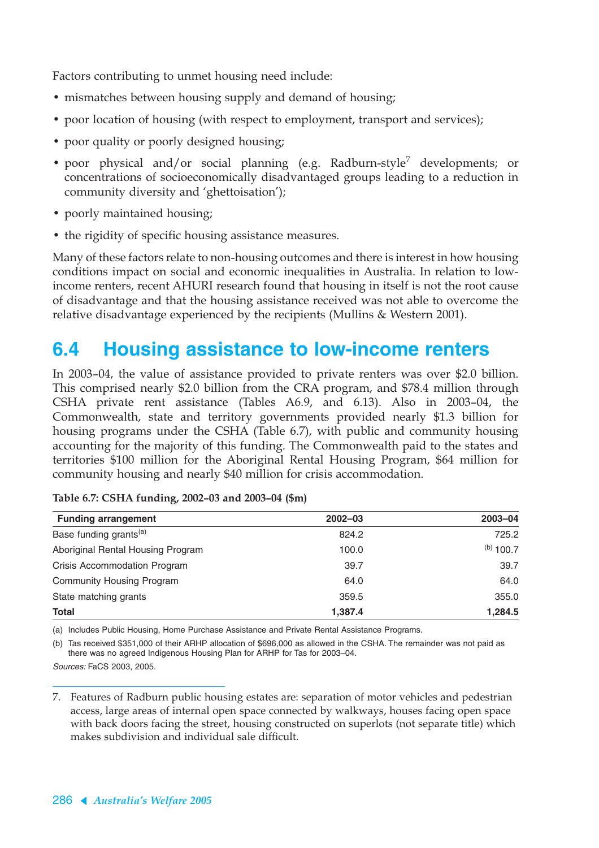Factors contributing to unmet housing need include:

- mismatches between housing supply and demand of housing;
- poor location of housing (with respect to employment, transport and services);
- poor quality or poorly designed housing;
- poor physical and/or social planning (e.g. Radburn-style<sup>7</sup> developments; or concentrations of socioeconomically disadvantaged groups leading to a reduction in community diversity and 'ghettoisation');
- poorly maintained housing;
- the rigidity of specific housing assistance measures.

Many of these factors relate to non-housing outcomes and there is interest in how housing conditions impact on social and economic inequalities in Australia. In relation to lowincome renters, recent AHURI research found that housing in itself is not the root cause of disadvantage and that the housing assistance received was not able to overcome the relative disadvantage experienced by the recipients (Mullins & Western 2001).

# **6.4 Housing assistance to low-income renters**

In 2003–04, the value of assistance provided to private renters was over \$2.0 billion. This comprised nearly \$2.0 billion from the CRA program, and \$78.4 million through CSHA private rent assistance (Tables A6.9, and 6.13). Also in 2003–04, the Commonwealth, state and territory governments provided nearly \$1.3 billion for housing programs under the CSHA (Table 6.7), with public and community housing accounting for the majority of this funding. The Commonwealth paid to the states and territories \$100 million for the Aboriginal Rental Housing Program, \$64 million for community housing and nearly \$40 million for crisis accommodation.

| <b>Funding arrangement</b>         | $2002 - 03$ | $2003 - 04$ |
|------------------------------------|-------------|-------------|
| Base funding grants <sup>(a)</sup> | 824.2       | 725.2       |
| Aboriginal Rental Housing Program  | 100.0       | $(b)$ 100.7 |
| Crisis Accommodation Program       | 39.7        | 39.7        |
| <b>Community Housing Program</b>   | 64.0        | 64.0        |
| State matching grants              | 359.5       | 355.0       |
| Total                              | 1,387.4     | 1,284.5     |

| Table 6.7: CSHA funding, 2002-03 and 2003-04 (\$m) |  |  |  |
|----------------------------------------------------|--|--|--|
|                                                    |  |  |  |

(a) Includes Public Housing, Home Purchase Assistance and Private Rental Assistance Programs.

(b) Tas received \$351,000 of their ARHP allocation of \$696,000 as allowed in the CSHA. The remainder was not paid as there was no agreed Indigenous Housing Plan for ARHP for Tas for 2003–04.

Sources: FaCS 2003, 2005.

<sup>7.</sup> Features of Radburn public housing estates are: separation of motor vehicles and pedestrian access, large areas of internal open space connected by walkways, houses facing open space with back doors facing the street, housing constructed on superlots (not separate title) which makes subdivision and individual sale difficult.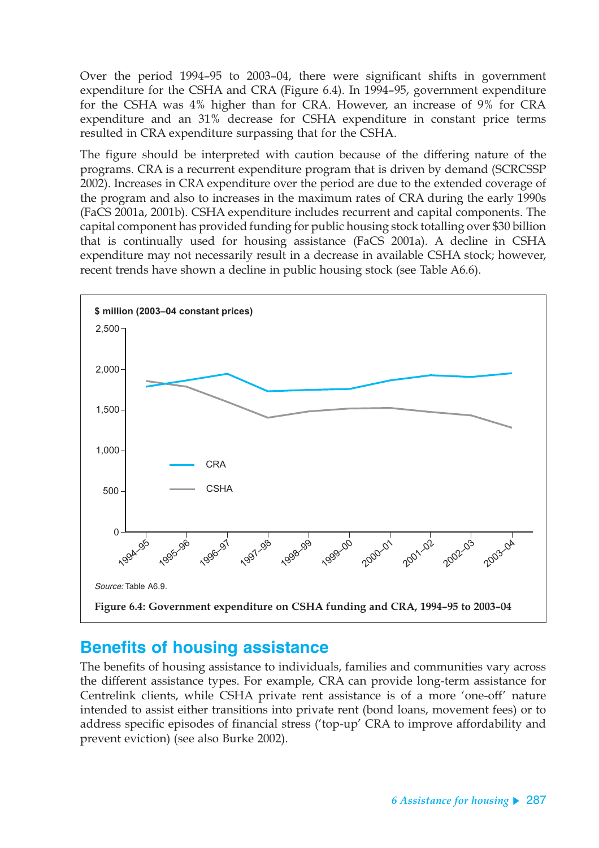Over the period 1994–95 to 2003–04, there were significant shifts in government expenditure for the CSHA and CRA (Figure 6.4). In 1994–95, government expenditure for the CSHA was 4% higher than for CRA. However, an increase of 9% for CRA expenditure and an 31% decrease for CSHA expenditure in constant price terms resulted in CRA expenditure surpassing that for the CSHA.

The figure should be interpreted with caution because of the differing nature of the programs. CRA is a recurrent expenditure program that is driven by demand (SCRCSSP 2002). Increases in CRA expenditure over the period are due to the extended coverage of the program and also to increases in the maximum rates of CRA during the early 1990s (FaCS 2001a, 2001b). CSHA expenditure includes recurrent and capital components. The capital component has provided funding for public housing stock totalling over \$30 billion that is continually used for housing assistance (FaCS 2001a). A decline in CSHA expenditure may not necessarily result in a decrease in available CSHA stock; however, recent trends have shown a decline in public housing stock (see Table A6.6).



## **Benefits of housing assistance**

The benefits of housing assistance to individuals, families and communities vary across the different assistance types. For example, CRA can provide long-term assistance for Centrelink clients, while CSHA private rent assistance is of a more 'one-off' nature intended to assist either transitions into private rent (bond loans, movement fees) or to address specific episodes of financial stress ('top-up' CRA to improve affordability and prevent eviction) (see also Burke 2002).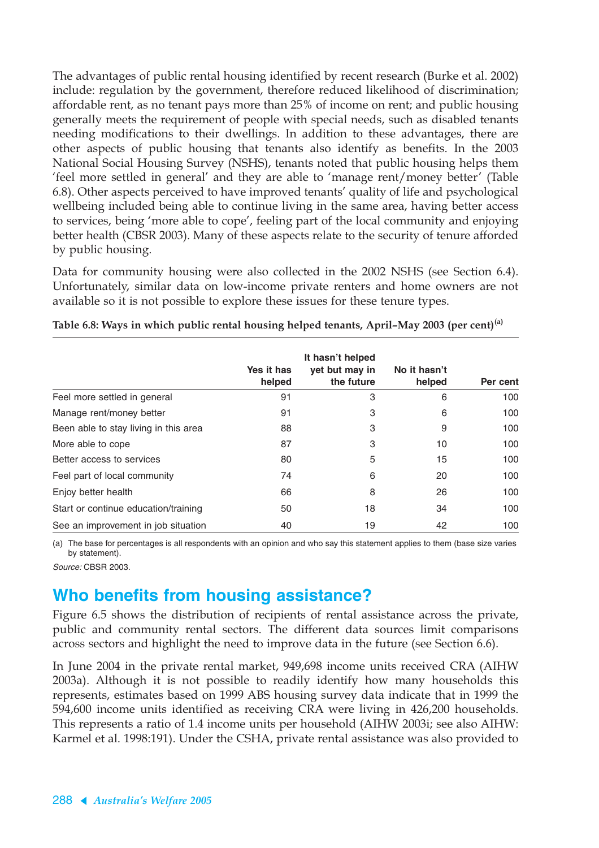The advantages of public rental housing identified by recent research (Burke et al. 2002) include: regulation by the government, therefore reduced likelihood of discrimination; affordable rent, as no tenant pays more than 25% of income on rent; and public housing generally meets the requirement of people with special needs, such as disabled tenants needing modifications to their dwellings. In addition to these advantages, there are other aspects of public housing that tenants also identify as benefits. In the 2003 National Social Housing Survey (NSHS), tenants noted that public housing helps them 'feel more settled in general' and they are able to 'manage rent/money better' (Table 6.8). Other aspects perceived to have improved tenants' quality of life and psychological wellbeing included being able to continue living in the same area, having better access to services, being 'more able to cope', feeling part of the local community and enjoying better health (CBSR 2003). Many of these aspects relate to the security of tenure afforded by public housing.

Data for community housing were also collected in the 2002 NSHS (see Section 6.4). Unfortunately, similar data on low-income private renters and home owners are not available so it is not possible to explore these issues for these tenure types.

|                                       | Yes it has<br>helped | It hasn't helped<br>yet but may in<br>the future | No it hasn't<br>helped | Per cent |
|---------------------------------------|----------------------|--------------------------------------------------|------------------------|----------|
| Feel more settled in general          | 91                   | 3                                                | 6                      | 100      |
| Manage rent/money better              | 91                   | 3                                                | 6                      | 100      |
| Been able to stay living in this area | 88                   | 3                                                | 9                      | 100      |
| More able to cope                     | 87                   | 3                                                | 10                     | 100      |
| Better access to services             | 80                   | 5                                                | 15                     | 100      |
| Feel part of local community          | 74                   | 6                                                | 20                     | 100      |
| Enjoy better health                   | 66                   | 8                                                | 26                     | 100      |
| Start or continue education/training  | 50                   | 18                                               | 34                     | 100      |
| See an improvement in job situation   | 40                   | 19                                               | 42                     | 100      |

**Table 6.8: Ways in which public rental housing helped tenants, April–May 2003 (per cent)(a)**

(a) The base for percentages is all respondents with an opinion and who say this statement applies to them (base size varies by statement).

Source: CBSR 2003.

## **Who benefits from housing assistance?**

Figure 6.5 shows the distribution of recipients of rental assistance across the private, public and community rental sectors. The different data sources limit comparisons across sectors and highlight the need to improve data in the future (see Section 6.6).

In June 2004 in the private rental market, 949,698 income units received CRA (AIHW 2003a). Although it is not possible to readily identify how many households this represents, estimates based on 1999 ABS housing survey data indicate that in 1999 the 594,600 income units identified as receiving CRA were living in 426,200 households. This represents a ratio of 1.4 income units per household (AIHW 2003i; see also AIHW: Karmel et al. 1998:191). Under the CSHA, private rental assistance was also provided to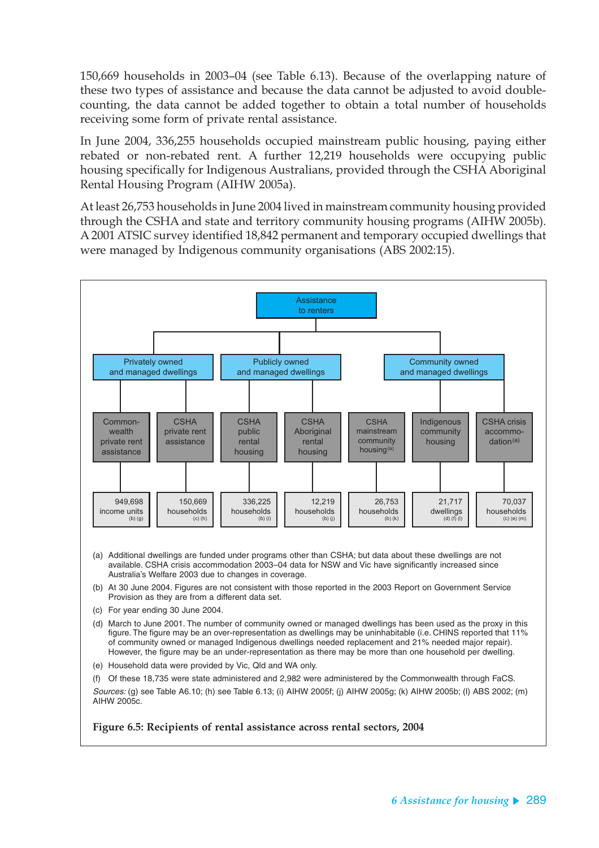150,669 households in 2003–04 (see Table 6.13). Because of the overlapping nature of these two types of assistance and because the data cannot be adjusted to avoid doublecounting, the data cannot be added together to obtain a total number of households receiving some form of private rental assistance.

In June 2004, 336,255 households occupied mainstream public housing, paying either rebated or non-rebated rent. A further 12,219 households were occupying public housing specifically for Indigenous Australians, provided through the CSHA Aboriginal Rental Housing Program (AIHW 2005a).

At least 26,753 households in June 2004 lived in mainstream community housing provided through the CSHA and state and territory community housing programs (AIHW 2005b). A 2001 ATSIC survey identified 18,842 permanent and temporary occupied dwellings that were managed by Indigenous community organisations (ABS 2002:15).



- (a) Additional dwellings are funded under programs other than CSHA; but data about these dwellings are not available. CSHA crisis accommodation 2003–04 data for NSW and Vic have significantly increased since Australia's Welfare 2003 due to changes in coverage.
- (b) At 30 June 2004. Figures are not consistent with those reported in the 2003 Report on Government Service Provision as they are from a different data set.
- (c) For year ending 30 June 2004.
- (d) March to June 2001. The number of community owned or managed dwellings has been used as the proxy in this figure. The figure may be an over-representation as dwellings may be uninhabitable (i.e. CHINS reported that 11% of community owned or managed Indigenous dwellings needed replacement and 21% needed major repair). However, the figure may be an under-representation as there may be more than one household per dwelling.
- (e) Household data were provided by Vic, Qld and WA only.
- (f) Of these 18,735 were state administered and 2,982 were administered by the Commonwealth through FaCS.

Sources: (g) see Table A6.10; (h) see Table 6.13; (i) AIHW 2005f; (j) AIHW 2005g; (k) AIHW 2005b; (l) ABS 2002; (m) AIHW 2005c.

**Figure 6.5: Recipients of rental assistance across rental sectors, 2004**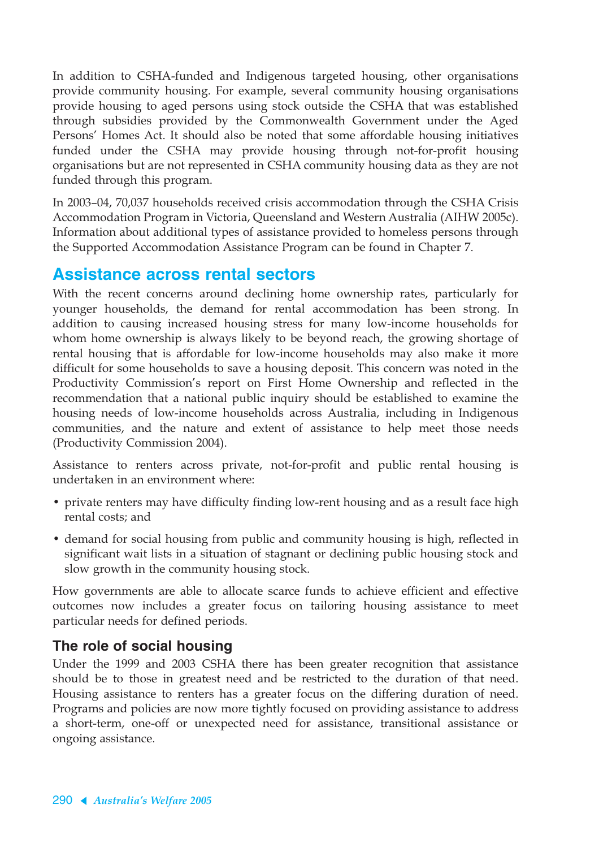In addition to CSHA-funded and Indigenous targeted housing, other organisations provide community housing. For example, several community housing organisations provide housing to aged persons using stock outside the CSHA that was established through subsidies provided by the Commonwealth Government under the Aged Persons' Homes Act. It should also be noted that some affordable housing initiatives funded under the CSHA may provide housing through not-for-profit housing organisations but are not represented in CSHA community housing data as they are not funded through this program.

In 2003–04, 70,037 households received crisis accommodation through the CSHA Crisis Accommodation Program in Victoria, Queensland and Western Australia (AIHW 2005c). Information about additional types of assistance provided to homeless persons through the Supported Accommodation Assistance Program can be found in Chapter 7.

## **Assistance across rental sectors**

With the recent concerns around declining home ownership rates, particularly for younger households, the demand for rental accommodation has been strong. In addition to causing increased housing stress for many low-income households for whom home ownership is always likely to be beyond reach, the growing shortage of rental housing that is affordable for low-income households may also make it more difficult for some households to save a housing deposit. This concern was noted in the Productivity Commission's report on First Home Ownership and reflected in the recommendation that a national public inquiry should be established to examine the housing needs of low-income households across Australia, including in Indigenous communities, and the nature and extent of assistance to help meet those needs (Productivity Commission 2004).

Assistance to renters across private, not-for-profit and public rental housing is undertaken in an environment where:

- private renters may have difficulty finding low-rent housing and as a result face high rental costs; and
- demand for social housing from public and community housing is high, reflected in significant wait lists in a situation of stagnant or declining public housing stock and slow growth in the community housing stock.

How governments are able to allocate scarce funds to achieve efficient and effective outcomes now includes a greater focus on tailoring housing assistance to meet particular needs for defined periods.

### **The role of social housing**

Under the 1999 and 2003 CSHA there has been greater recognition that assistance should be to those in greatest need and be restricted to the duration of that need. Housing assistance to renters has a greater focus on the differing duration of need. Programs and policies are now more tightly focused on providing assistance to address a short-term, one-off or unexpected need for assistance, transitional assistance or ongoing assistance.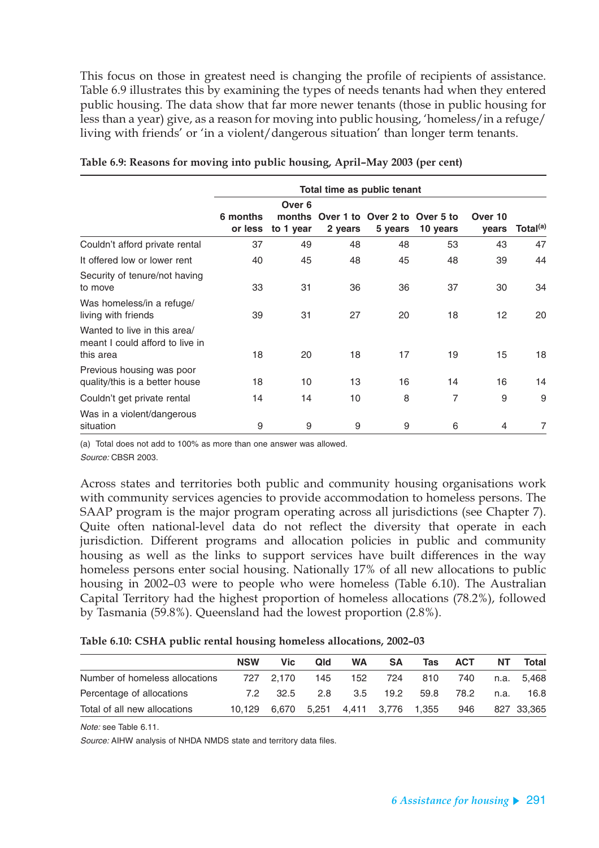This focus on those in greatest need is changing the profile of recipients of assistance. Table 6.9 illustrates this by examining the types of needs tenants had when they entered public housing. The data show that far more newer tenants (those in public housing for less than a year) give, as a reason for moving into public housing, 'homeless/in a refuge/ living with friends' or 'in a violent/dangerous situation' than longer term tenants.

|                                                                              |                     |                               |         | Total time as public tenant              |          |                  |                      |
|------------------------------------------------------------------------------|---------------------|-------------------------------|---------|------------------------------------------|----------|------------------|----------------------|
|                                                                              | 6 months<br>or less | Over 6<br>months<br>to 1 year | 2 years | Over 1 to Over 2 to Over 5 to<br>5 years | 10 years | Over 10<br>years | Total <sup>(a)</sup> |
| Couldn't afford private rental                                               | 37                  | 49                            | 48      | 48                                       | 53       | 43               | 47                   |
| It offered low or lower rent                                                 | 40                  | 45                            | 48      | 45                                       | 48       | 39               | 44                   |
| Security of tenure/not having<br>to move                                     | 33                  | 31                            | 36      | 36                                       | 37       | 30               | 34                   |
| Was homeless/in a refuge/<br>living with friends                             | 39                  | 31                            | 27      | 20                                       | 18       | 12 <sup>2</sup>  | 20                   |
| Wanted to live in this area/<br>meant I could afford to live in<br>this area | 18                  | 20                            | 18      | 17                                       | 19       | 15               | 18                   |
| Previous housing was poor<br>quality/this is a better house                  | 18                  | 10                            | 13      | 16                                       | 14       | 16               | 14                   |
| Couldn't get private rental                                                  | 14                  | 14                            | 10      | 8                                        | 7        | 9                | 9                    |
| Was in a violent/dangerous<br>situation                                      | 9                   | 9                             | 9       | 9                                        | 6        | 4                | $\overline{7}$       |

|  |  |  | Table 6.9: Reasons for moving into public housing, April–May 2003 (per cent) |  |  |
|--|--|--|------------------------------------------------------------------------------|--|--|
|  |  |  |                                                                              |  |  |

(a) Total does not add to 100% as more than one answer was allowed. Source: CBSR 2003.

Across states and territories both public and community housing organisations work with community services agencies to provide accommodation to homeless persons. The SAAP program is the major program operating across all jurisdictions (see Chapter 7). Quite often national-level data do not reflect the diversity that operate in each jurisdiction. Different programs and allocation policies in public and community housing as well as the links to support services have built differences in the way homeless persons enter social housing. Nationally 17% of all new allocations to public housing in 2002–03 were to people who were homeless (Table 6.10). The Australian Capital Territory had the highest proportion of homeless allocations (78.2%), followed by Tasmania (59.8%). Queensland had the lowest proportion (2.8%).

#### **Table 6.10: CSHA public rental housing homeless allocations, 2002–03**

|                                | <b>NSW</b> | <b>Vic</b> | Qld | <b>WA</b> | <b>SA</b> | <b>Tas</b> | <b>ACT</b> | NΤ   | Total      |
|--------------------------------|------------|------------|-----|-----------|-----------|------------|------------|------|------------|
| Number of homeless allocations |            | 727 2.170  | 145 | 152       | 724       | 810        | 740        |      | n.a. 5.468 |
| Percentage of allocations      | 72.        | 32.5       | 28  | 3.5       | 19.2      | 59.8       | 78.2       | n.a. | 16.8       |
| Total of all new allocations   | 10.129     | 6.670      |     |           |           | 1.355      | 946        |      | 827 33.365 |

Note: see Table 6.11.

Source: AIHW analysis of NHDA NMDS state and territory data files.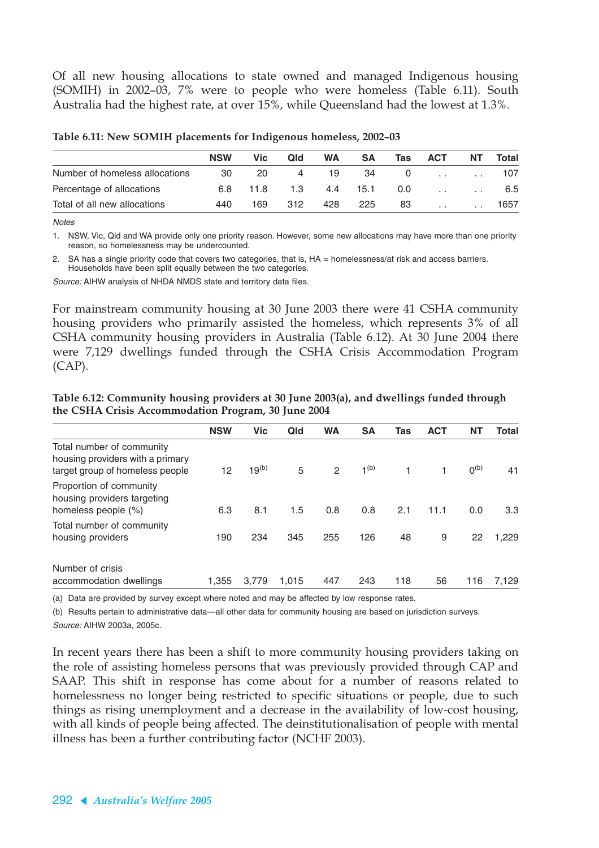Of all new housing allocations to state owned and managed Indigenous housing (SOMIH) in 2002–03, 7% were to people who were homeless (Table 6.11). South Australia had the highest rate, at over 15%, while Queensland had the lowest at 1.3%.

| <b>NSW</b> | Vic | Qld  | <b>WA</b> | <b>SA</b> | Tas | <b>ACT</b> | ΝT     | Total |
|------------|-----|------|-----------|-----------|-----|------------|--------|-------|
| 30         | 20  | 4    | 19        | 34        |     |            |        | 107   |
| 6.8        |     | 1.3  | 4.4       | 15.1      | 0.0 | $\sim$     |        | 6.5   |
| 440        | 169 | 312  | 428       | 225       | 83  | $\sim$     | $\sim$ | 1657  |
|            |     | 11.8 |           |           |     |            |        |       |

**Table 6.11: New SOMIH placements for Indigenous homeless, 2002–03**

**Notes** 

1. NSW, Vic, Qld and WA provide only one priority reason. However, some new allocations may have more than one priority reason, so homelessness may be undercounted.

2. SA has a single priority code that covers two categories, that is, HA = homelessness/at risk and access barriers. Households have been split equally between the two categories.

Source: AIHW analysis of NHDA NMDS state and territory data files.

For mainstream community housing at 30 June 2003 there were 41 CSHA community housing providers who primarily assisted the homeless, which represents 3% of all CSHA community housing providers in Australia (Table 6.12). At 30 June 2004 there were 7,129 dwellings funded through the CSHA Crisis Accommodation Program (CAP).

| Table 6.12: Community housing providers at 30 June 2003(a), and dwellings funded through |
|------------------------------------------------------------------------------------------|
| the CSHA Crisis Accommodation Program, 30 June 2004                                      |

|                                                                                                  | <b>NSW</b> | <b>Vic</b> | Qld   | <b>WA</b>      | <b>SA</b> | Tas | <b>ACT</b> | <b>NT</b> | <b>Total</b> |
|--------------------------------------------------------------------------------------------------|------------|------------|-------|----------------|-----------|-----|------------|-----------|--------------|
| Total number of community<br>housing providers with a primary<br>target group of homeless people | 12         | $19^{(b)}$ | 5     | $\overline{2}$ | $1^{(b)}$ | 1   | 1.         | $0^{(b)}$ | 41           |
| Proportion of community<br>housing providers targeting<br>homeless people (%)                    | 6.3        | 8.1        | 1.5   | 0.8            | 0.8       | 2.1 | 11.1       | 0.0       | 3.3          |
| Total number of community<br>housing providers                                                   | 190        | 234        | 345   | 255            | 126       | 48  | 9          | 22        | 1.229        |
| Number of crisis<br>accommodation dwellings                                                      | 1,355      | 3,779      | 1,015 | 447            | 243       | 118 | 56         | 116       | 7,129        |

(a) Data are provided by survey except where noted and may be affected by low response rates.

(b) Results pertain to administrative data—all other data for community housing are based on jurisdiction surveys.

Source: AIHW 2003a, 2005c.

In recent years there has been a shift to more community housing providers taking on the role of assisting homeless persons that was previously provided through CAP and SAAP. This shift in response has come about for a number of reasons related to homelessness no longer being restricted to specific situations or people, due to such things as rising unemployment and a decrease in the availability of low-cost housing, with all kinds of people being affected. The deinstitutionalisation of people with mental illness has been a further contributing factor (NCHF 2003).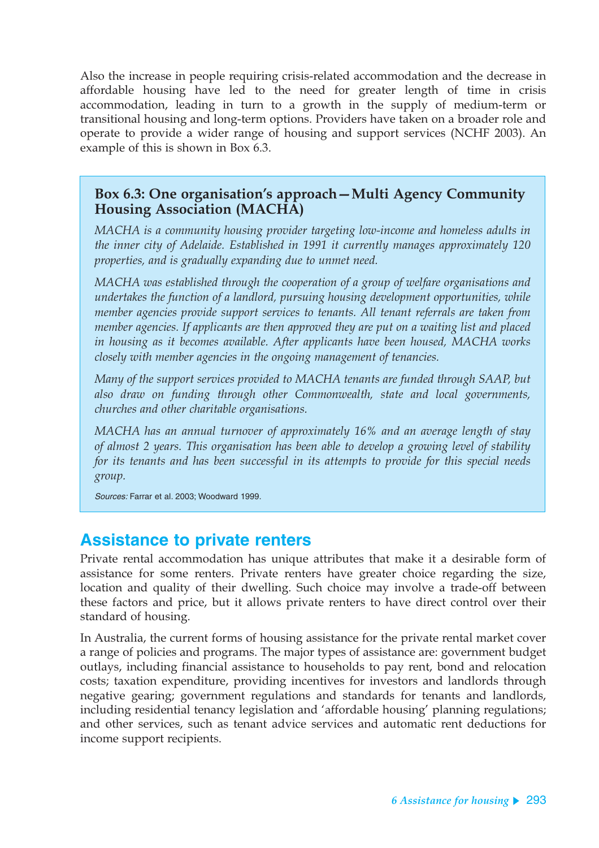Also the increase in people requiring crisis-related accommodation and the decrease in affordable housing have led to the need for greater length of time in crisis accommodation, leading in turn to a growth in the supply of medium-term or transitional housing and long-term options. Providers have taken on a broader role and operate to provide a wider range of housing and support services (NCHF 2003). An example of this is shown in Box 6.3.

#### **Box 6.3: One organisation's approach—Multi Agency Community Housing Association (MACHA)**

*MACHA is a community housing provider targeting low-income and homeless adults in the inner city of Adelaide. Established in 1991 it currently manages approximately 120 properties, and is gradually expanding due to unmet need.*

*MACHA was established through the cooperation of a group of welfare organisations and undertakes the function of a landlord, pursuing housing development opportunities, while member agencies provide support services to tenants. All tenant referrals are taken from member agencies. If applicants are then approved they are put on a waiting list and placed in housing as it becomes available. After applicants have been housed, MACHA works closely with member agencies in the ongoing management of tenancies.*

*Many of the support services provided to MACHA tenants are funded through SAAP, but also draw on funding through other Commonwealth, state and local governments, churches and other charitable organisations.*

*MACHA has an annual turnover of approximately 16% and an average length of stay of almost 2 years. This organisation has been able to develop a growing level of stability for its tenants and has been successful in its attempts to provide for this special needs group.*

Sources: Farrar et al. 2003; Woodward 1999.

## **Assistance to private renters**

Private rental accommodation has unique attributes that make it a desirable form of assistance for some renters. Private renters have greater choice regarding the size, location and quality of their dwelling. Such choice may involve a trade-off between these factors and price, but it allows private renters to have direct control over their standard of housing.

In Australia, the current forms of housing assistance for the private rental market cover a range of policies and programs. The major types of assistance are: government budget outlays, including financial assistance to households to pay rent, bond and relocation costs; taxation expenditure, providing incentives for investors and landlords through negative gearing; government regulations and standards for tenants and landlords, including residential tenancy legislation and 'affordable housing' planning regulations; and other services, such as tenant advice services and automatic rent deductions for income support recipients.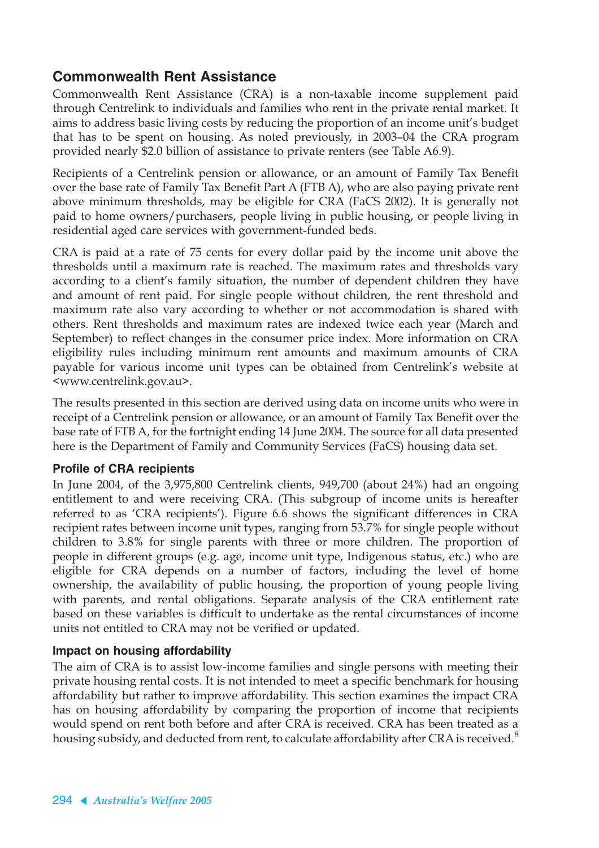### **Commonwealth Rent Assistance**

Commonwealth Rent Assistance (CRA) is a non-taxable income supplement paid through Centrelink to individuals and families who rent in the private rental market. It aims to address basic living costs by reducing the proportion of an income unit's budget that has to be spent on housing. As noted previously, in 2003–04 the CRA program provided nearly \$2.0 billion of assistance to private renters (see Table A6.9).

Recipients of a Centrelink pension or allowance, or an amount of Family Tax Benefit over the base rate of Family Tax Benefit Part A (FTB A), who are also paying private rent above minimum thresholds, may be eligible for CRA (FaCS 2002). It is generally not paid to home owners/purchasers, people living in public housing, or people living in residential aged care services with government-funded beds.

CRA is paid at a rate of 75 cents for every dollar paid by the income unit above the thresholds until a maximum rate is reached. The maximum rates and thresholds vary according to a client's family situation, the number of dependent children they have and amount of rent paid. For single people without children, the rent threshold and maximum rate also vary according to whether or not accommodation is shared with others. Rent thresholds and maximum rates are indexed twice each year (March and September) to reflect changes in the consumer price index. More information on CRA eligibility rules including minimum rent amounts and maximum amounts of CRA payable for various income unit types can be obtained from Centrelink's website at <www.centrelink.gov.au>.

The results presented in this section are derived using data on income units who were in receipt of a Centrelink pension or allowance, or an amount of Family Tax Benefit over the base rate of FTB A, for the fortnight ending 14 June 2004. The source for all data presented here is the Department of Family and Community Services (FaCS) housing data set.

#### **Profile of CRA recipients**

In June 2004, of the 3,975,800 Centrelink clients, 949,700 (about 24%) had an ongoing entitlement to and were receiving CRA. (This subgroup of income units is hereafter referred to as 'CRA recipients'). Figure 6.6 shows the significant differences in CRA recipient rates between income unit types, ranging from 53.7% for single people without children to 3.8% for single parents with three or more children. The proportion of people in different groups (e.g. age, income unit type, Indigenous status, etc.) who are eligible for CRA depends on a number of factors, including the level of home ownership, the availability of public housing, the proportion of young people living with parents, and rental obligations. Separate analysis of the CRA entitlement rate based on these variables is difficult to undertake as the rental circumstances of income units not entitled to CRA may not be verified or updated.

#### **Impact on housing affordability**

The aim of CRA is to assist low-income families and single persons with meeting their private housing rental costs. It is not intended to meet a specific benchmark for housing affordability but rather to improve affordability. This section examines the impact CRA has on housing affordability by comparing the proportion of income that recipients would spend on rent both before and after CRA is received. CRA has been treated as a housing subsidy, and deducted from rent, to calculate affordability after CRA is received.<sup>8</sup>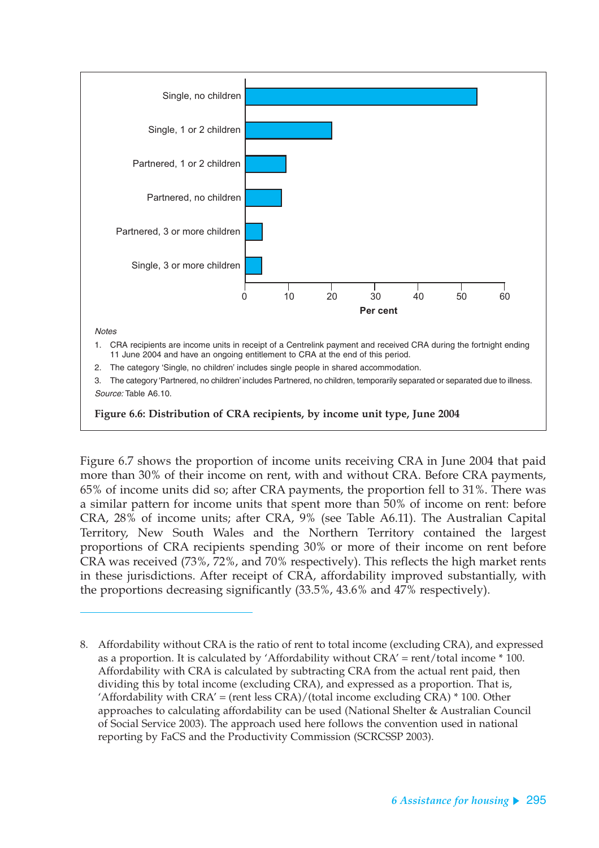

Figure 6.7 shows the proportion of income units receiving CRA in June 2004 that paid more than 30% of their income on rent, with and without CRA. Before CRA payments, 65% of income units did so; after CRA payments, the proportion fell to 31%. There was a similar pattern for income units that spent more than 50% of income on rent: before CRA, 28% of income units; after CRA, 9% (see Table A6.11). The Australian Capital Territory, New South Wales and the Northern Territory contained the largest proportions of CRA recipients spending 30% or more of their income on rent before CRA was received (73%, 72%, and 70% respectively). This reflects the high market rents in these jurisdictions. After receipt of CRA, affordability improved substantially, with the proportions decreasing significantly (33.5%, 43.6% and 47% respectively).

<sup>8.</sup> Affordability without CRA is the ratio of rent to total income (excluding CRA), and expressed as a proportion. It is calculated by 'Affordability without CRA' = rent/total income \* 100. Affordability with CRA is calculated by subtracting CRA from the actual rent paid, then dividing this by total income (excluding CRA), and expressed as a proportion. That is, 'Affordability with  $CRA'$  = (rent less  $CRA$ )/(total income excluding  $CRA$ )  $*$  100. Other approaches to calculating affordability can be used (National Shelter & Australian Council of Social Service 2003). The approach used here follows the convention used in national reporting by FaCS and the Productivity Commission (SCRCSSP 2003).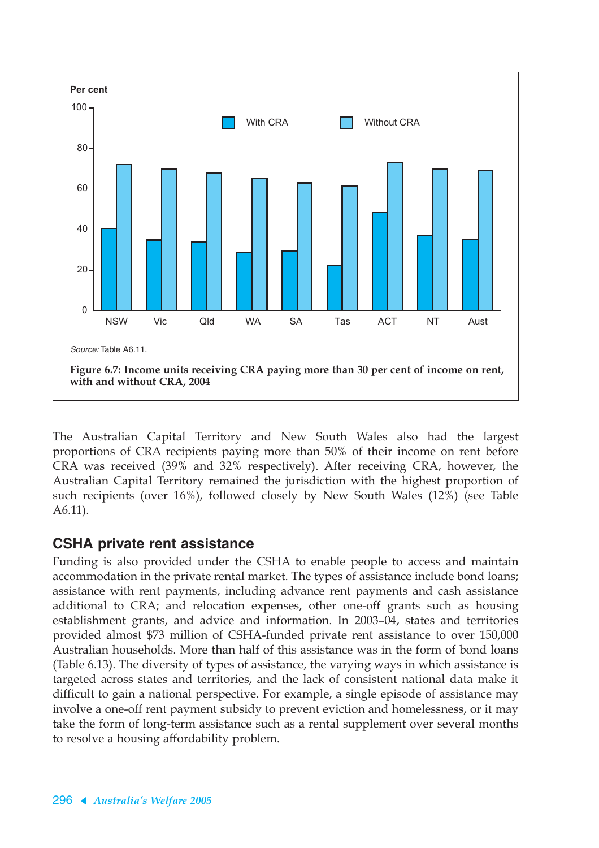

The Australian Capital Territory and New South Wales also had the largest proportions of CRA recipients paying more than 50% of their income on rent before CRA was received (39% and 32% respectively). After receiving CRA, however, the Australian Capital Territory remained the jurisdiction with the highest proportion of such recipients (over 16%), followed closely by New South Wales (12%) (see Table A6.11).

#### **CSHA private rent assistance**

Funding is also provided under the CSHA to enable people to access and maintain accommodation in the private rental market. The types of assistance include bond loans; assistance with rent payments, including advance rent payments and cash assistance additional to CRA; and relocation expenses, other one-off grants such as housing establishment grants, and advice and information. In 2003–04, states and territories provided almost \$73 million of CSHA-funded private rent assistance to over 150,000 Australian households. More than half of this assistance was in the form of bond loans (Table 6.13). The diversity of types of assistance, the varying ways in which assistance is targeted across states and territories, and the lack of consistent national data make it difficult to gain a national perspective. For example, a single episode of assistance may involve a one-off rent payment subsidy to prevent eviction and homelessness, or it may take the form of long-term assistance such as a rental supplement over several months to resolve a housing affordability problem.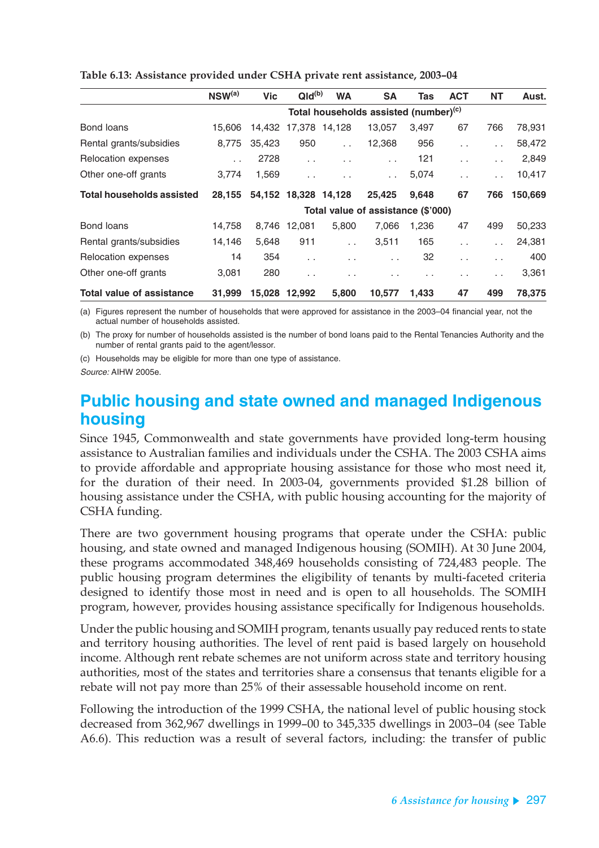|                                  | $NSW^{(a)}$ | <b>Vic</b> | QId <sup>(b)</sup>   | <b>WA</b>            | <b>SA</b>                                         | Tas                  | <b>ACT</b>           | <b>NT</b>            | Aust.   |
|----------------------------------|-------------|------------|----------------------|----------------------|---------------------------------------------------|----------------------|----------------------|----------------------|---------|
|                                  |             |            |                      |                      | Total households assisted (number) <sup>(c)</sup> |                      |                      |                      |         |
| Bond loans                       | 15.606      | 14,432     |                      | 17,378 14,128        | 13.057                                            | 3.497                | 67                   | 766                  | 78,931  |
| Rental grants/subsidies          | 8.775       | 35,423     | 950                  | $\sim$               | 12,368                                            | 956                  | $\sim$               | $\sim$               | 58,472  |
| Relocation expenses              | $\sim$      | 2728       | $\sim$ $\sim$        | $\ddot{\phantom{0}}$ | $\sim$                                            | 121                  | $\ddot{\phantom{0}}$ | $\sim$ $\sim$        | 2,849   |
| Other one-off grants             | 3.774       | 1,569      | $\sim$               |                      | $\sim$                                            | 5,074                | $\sim$               | $\sim$ $\sim$        | 10,417  |
| <b>Total households assisted</b> | 28,155      |            | 54,152 18,328 14,128 |                      | 25.425                                            | 9,648                | 67                   | 766                  | 150,669 |
|                                  |             |            |                      |                      | Total value of assistance (\$'000)                |                      |                      |                      |         |
| Bond loans                       | 14,758      | 8.746      | 12,081               | 5,800                | 7.066                                             | 1,236                | 47                   | 499                  | 50,233  |
| Rental grants/subsidies          | 14,146      | 5,648      | 911                  | $\ddot{\phantom{a}}$ | 3,511                                             | 165                  | $\ddot{\phantom{0}}$ | $\ddot{\phantom{0}}$ | 24,381  |
| Relocation expenses              | 14          | 354        | $\sim$               | $\ddotsc$            | $\ddotsc$                                         | 32                   | $\sim$               | $\sim$               | 400     |
| Other one-off grants             | 3,081       | 280        | $\sim$ $\sim$        | . .                  | . .                                               | $\ddot{\phantom{1}}$ | . .                  | $\sim$               | 3,361   |
| <b>Total value of assistance</b> | 31,999      | 15.028     | 12.992               | 5.800                | 10.577                                            | 1.433                | 47                   | 499                  | 78.375  |

**Table 6.13: Assistance provided under CSHA private rent assistance, 2003–04**

(a) Figures represent the number of households that were approved for assistance in the 2003–04 financial year, not the actual number of households assisted.

(b) The proxy for number of households assisted is the number of bond loans paid to the Rental Tenancies Authority and the number of rental grants paid to the agent/lessor.

(c) Households may be eligible for more than one type of assistance.

Source: AIHW 2005e.

## **Public housing and state owned and managed Indigenous housing**

Since 1945, Commonwealth and state governments have provided long-term housing assistance to Australian families and individuals under the CSHA. The 2003 CSHA aims to provide affordable and appropriate housing assistance for those who most need it, for the duration of their need. In 2003-04, governments provided \$1.28 billion of housing assistance under the CSHA, with public housing accounting for the majority of CSHA funding.

There are two government housing programs that operate under the CSHA: public housing, and state owned and managed Indigenous housing (SOMIH). At 30 June 2004, these programs accommodated 348,469 households consisting of 724,483 people. The public housing program determines the eligibility of tenants by multi-faceted criteria designed to identify those most in need and is open to all households. The SOMIH program, however, provides housing assistance specifically for Indigenous households.

Under the public housing and SOMIH program, tenants usually pay reduced rents to state and territory housing authorities. The level of rent paid is based largely on household income. Although rent rebate schemes are not uniform across state and territory housing authorities, most of the states and territories share a consensus that tenants eligible for a rebate will not pay more than 25% of their assessable household income on rent.

Following the introduction of the 1999 CSHA, the national level of public housing stock decreased from 362,967 dwellings in 1999–00 to 345,335 dwellings in 2003–04 (see Table A6.6). This reduction was a result of several factors, including: the transfer of public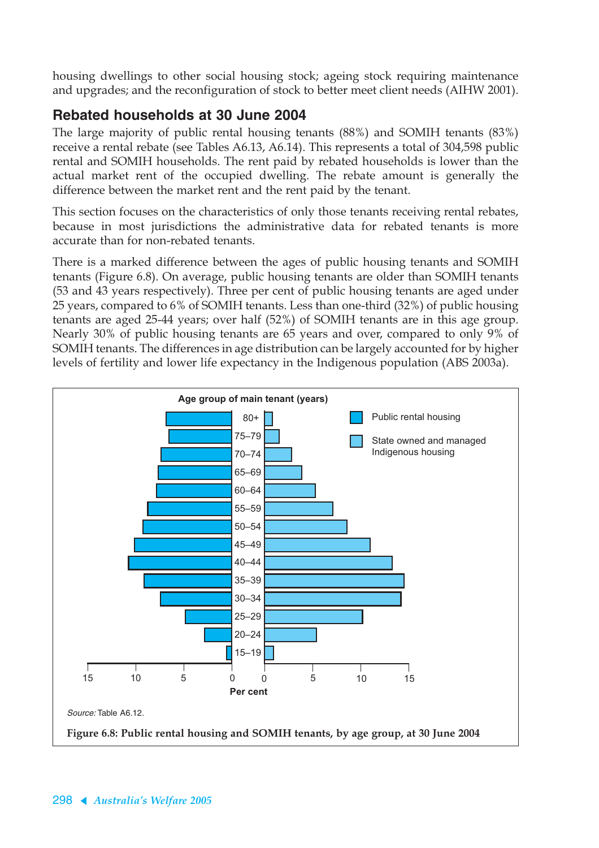housing dwellings to other social housing stock; ageing stock requiring maintenance and upgrades; and the reconfiguration of stock to better meet client needs (AIHW 2001).

## **Rebated households at 30 June 2004**

The large majority of public rental housing tenants (88%) and SOMIH tenants (83%) receive a rental rebate (see Tables A6.13, A6.14). This represents a total of 304,598 public rental and SOMIH households. The rent paid by rebated households is lower than the actual market rent of the occupied dwelling. The rebate amount is generally the difference between the market rent and the rent paid by the tenant.

This section focuses on the characteristics of only those tenants receiving rental rebates, because in most jurisdictions the administrative data for rebated tenants is more accurate than for non-rebated tenants.

There is a marked difference between the ages of public housing tenants and SOMIH tenants (Figure 6.8). On average, public housing tenants are older than SOMIH tenants (53 and 43 years respectively). Three per cent of public housing tenants are aged under 25 years, compared to 6% of SOMIH tenants. Less than one-third (32%) of public housing tenants are aged 25-44 years; over half (52%) of SOMIH tenants are in this age group. Nearly 30% of public housing tenants are 65 years and over, compared to only 9% of SOMIH tenants. The differences in age distribution can be largely accounted for by higher levels of fertility and lower life expectancy in the Indigenous population (ABS 2003a).

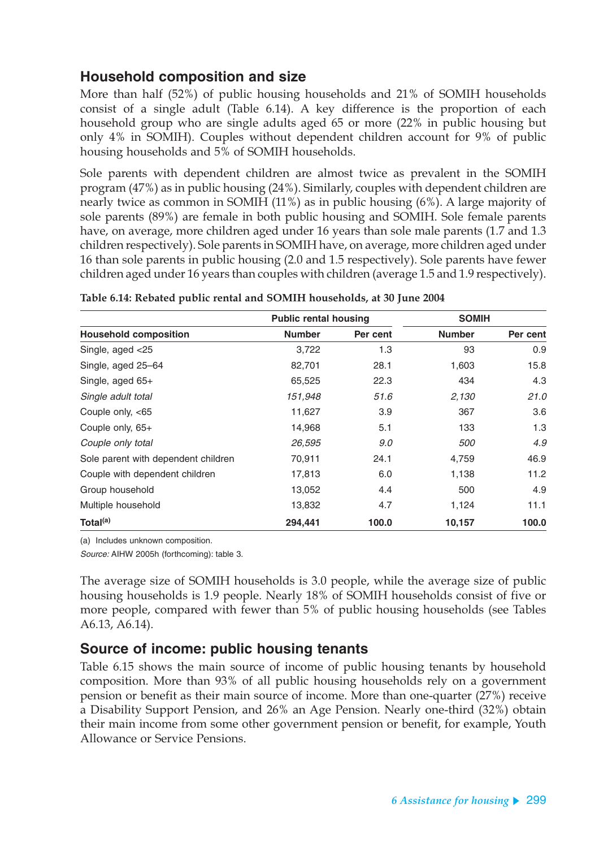### **Household composition and size**

More than half (52%) of public housing households and 21% of SOMIH households consist of a single adult (Table 6.14). A key difference is the proportion of each household group who are single adults aged 65 or more (22% in public housing but only 4% in SOMIH). Couples without dependent children account for 9% of public housing households and 5% of SOMIH households.

Sole parents with dependent children are almost twice as prevalent in the SOMIH program (47%) as in public housing (24%). Similarly, couples with dependent children are nearly twice as common in SOMIH (11%) as in public housing (6%). A large majority of sole parents (89%) are female in both public housing and SOMIH. Sole female parents have, on average, more children aged under 16 years than sole male parents (1.7 and 1.3 children respectively). Sole parents in SOMIH have, on average, more children aged under 16 than sole parents in public housing (2.0 and 1.5 respectively). Sole parents have fewer children aged under 16 years than couples with children (average 1.5 and 1.9 respectively).

|                                     | <b>Public rental housing</b> |          | <b>SOMIH</b>  |          |  |
|-------------------------------------|------------------------------|----------|---------------|----------|--|
| <b>Household composition</b>        | <b>Number</b>                | Per cent | <b>Number</b> | Per cent |  |
| Single, aged <25                    | 3,722                        | 1.3      | 93            | 0.9      |  |
| Single, aged 25-64                  | 82,701                       | 28.1     | 1,603         | 15.8     |  |
| Single, aged 65+                    | 65,525                       | 22.3     | 434           | 4.3      |  |
| Single adult total                  | 151,948                      | 51.6     | 2,130         | 21.0     |  |
| Couple only, <65                    | 11,627                       | 3.9      | 367           | 3.6      |  |
| Couple only, 65+                    | 14,968                       | 5.1      | 133           | 1.3      |  |
| Couple only total                   | 26,595                       | 9.0      | <i>500</i>    | 4.9      |  |
| Sole parent with dependent children | 70,911                       | 24.1     | 4,759         | 46.9     |  |
| Couple with dependent children      | 17,813                       | 6.0      | 1,138         | 11.2     |  |
| Group household                     | 13,052                       | 4.4      | 500           | 4.9      |  |
| Multiple household                  | 13,832                       | 4.7      | 1,124         | 11.1     |  |
| Total <sup>(a)</sup>                | 294,441                      | 100.0    | 10,157        | 100.0    |  |

**Table 6.14: Rebated public rental and SOMIH households, at 30 June 2004**

(a) Includes unknown composition.

Source: AIHW 2005h (forthcoming): table 3.

The average size of SOMIH households is 3.0 people, while the average size of public housing households is 1.9 people. Nearly 18% of SOMIH households consist of five or more people, compared with fewer than 5% of public housing households (see Tables A6.13, A6.14).

#### **Source of income: public housing tenants**

Table 6.15 shows the main source of income of public housing tenants by household composition. More than 93% of all public housing households rely on a government pension or benefit as their main source of income. More than one-quarter (27%) receive a Disability Support Pension, and 26% an Age Pension. Nearly one-third (32%) obtain their main income from some other government pension or benefit, for example, Youth Allowance or Service Pensions.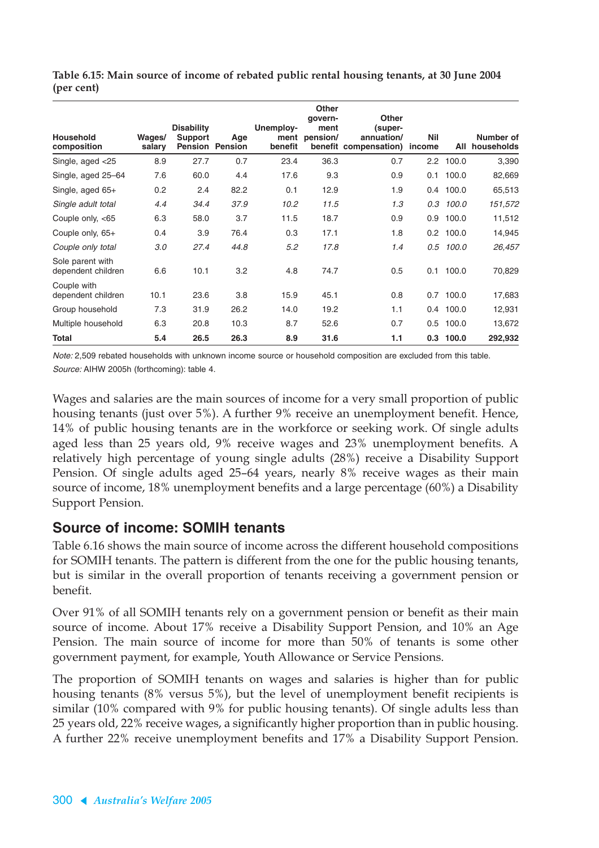| <b>Household</b><br>composition        | Wages/<br>salary | <b>Disability</b><br><b>Support</b> | Age<br><b>Pension Pension</b> | Unemploy-<br>ment<br>benefit | <b>Other</b><br>qovern-<br>ment<br>pension/ | <b>Other</b><br>(super-<br>annuation/<br>benefit compensation) | <b>Nil</b><br>income | All         | Number of<br>households |
|----------------------------------------|------------------|-------------------------------------|-------------------------------|------------------------------|---------------------------------------------|----------------------------------------------------------------|----------------------|-------------|-------------------------|
| Single, aged <25                       | 8.9              | 27.7                                | 0.7                           | 23.4                         | 36.3                                        | 0.7                                                            |                      | 2.2 100.0   | 3,390                   |
| Single, aged 25-64                     | 7.6              | 60.0                                | 4.4                           | 17.6                         | 9.3                                         | 0.9                                                            |                      | $0.1$ 100.0 | 82,669                  |
| Single, aged 65+                       | 0.2              | 2.4                                 | 82.2                          | 0.1                          | 12.9                                        | 1.9                                                            |                      | 0.4 100.0   | 65,513                  |
| Single adult total                     | 4.4              | 34.4                                | 37.9                          | 10.2                         | 11.5                                        | 1.3                                                            | 0.3                  | 100.0       | 151,572                 |
| Couple only, <65                       | 6.3              | 58.0                                | 3.7                           | 11.5                         | 18.7                                        | 0.9                                                            | 0.9                  | 100.0       | 11,512                  |
| Couple only, 65+                       | 0.4              | 3.9                                 | 76.4                          | 0.3                          | 17.1                                        | 1.8                                                            |                      | $0.2$ 100.0 | 14,945                  |
| Couple only total                      | 3.0              | 27.4                                | 44.8                          | 5.2                          | 17.8                                        | 1.4                                                            | 0.5                  | 100.0       | 26,457                  |
| Sole parent with<br>dependent children | 6.6              | 10.1                                | 3.2                           | 4.8                          | 74.7                                        | 0.5                                                            |                      | $0.1$ 100.0 | 70,829                  |
| Couple with<br>dependent children      | 10.1             | 23.6                                | 3.8                           | 15.9                         | 45.1                                        | 0.8                                                            | 0.7                  | 100.0       | 17,683                  |
| Group household                        | 7.3              | 31.9                                | 26.2                          | 14.0                         | 19.2                                        | 1.1                                                            | $0.4\phantom{0}$     | 100.0       | 12,931                  |
| Multiple household                     | 6.3              | 20.8                                | 10.3                          | 8.7                          | 52.6                                        | 0.7                                                            |                      | $0.5$ 100.0 | 13,672                  |
| Total                                  | 5.4              | 26.5                                | 26.3                          | 8.9                          | 31.6                                        | 1.1                                                            |                      | $0.3$ 100.0 | 292,932                 |

**Table 6.15: Main source of income of rebated public rental housing tenants, at 30 June 2004 (per cent)**

Note: 2,509 rebated households with unknown income source or household composition are excluded from this table. Source: AIHW 2005h (forthcoming): table 4.

Wages and salaries are the main sources of income for a very small proportion of public housing tenants (just over 5%). A further 9% receive an unemployment benefit. Hence, 14% of public housing tenants are in the workforce or seeking work. Of single adults aged less than 25 years old, 9% receive wages and 23% unemployment benefits. A relatively high percentage of young single adults (28%) receive a Disability Support Pension. Of single adults aged 25–64 years, nearly 8% receive wages as their main source of income, 18% unemployment benefits and a large percentage (60%) a Disability Support Pension.

### **Source of income: SOMIH tenants**

Table 6.16 shows the main source of income across the different household compositions for SOMIH tenants. The pattern is different from the one for the public housing tenants, but is similar in the overall proportion of tenants receiving a government pension or benefit.

Over 91% of all SOMIH tenants rely on a government pension or benefit as their main source of income. About 17% receive a Disability Support Pension, and 10% an Age Pension. The main source of income for more than 50% of tenants is some other government payment, for example, Youth Allowance or Service Pensions.

The proportion of SOMIH tenants on wages and salaries is higher than for public housing tenants (8% versus 5%), but the level of unemployment benefit recipients is similar (10% compared with 9% for public housing tenants). Of single adults less than 25 years old, 22% receive wages, a significantly higher proportion than in public housing. A further 22% receive unemployment benefits and 17% a Disability Support Pension.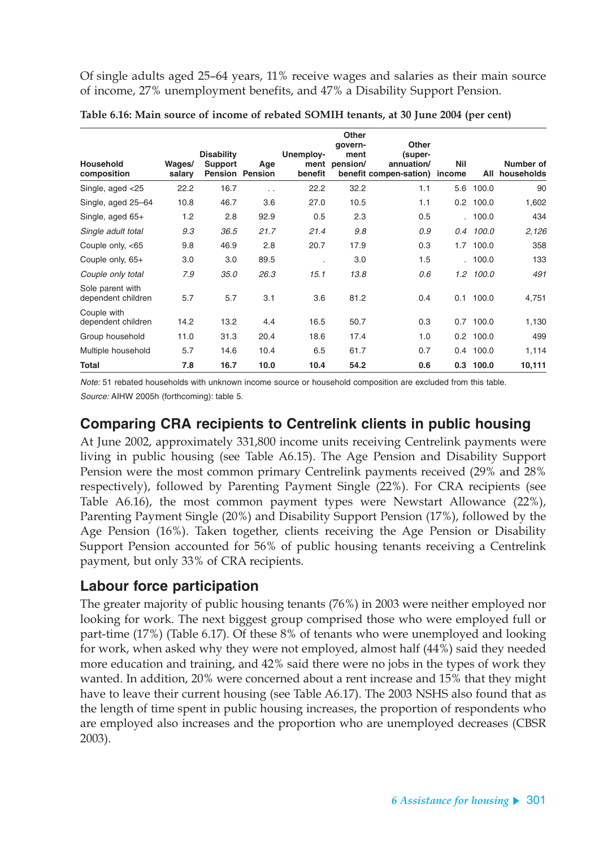Of single adults aged 25–64 years, 11% receive wages and salaries as their main source of income, 27% unemployment benefits, and 47% a Disability Support Pension.

| <b>Household</b><br>composition        | Wages/<br>salary | <b>Disability</b><br><b>Support</b> | Age<br><b>Pension Pension</b> | Unemploy-<br>benefit | <b>Other</b><br>qovern-<br>ment<br>ment pension/ | <b>Other</b><br>(super-<br>annuation/<br>benefit compen-sation) | <b>Nil</b><br>income | All           | Number of<br>households |
|----------------------------------------|------------------|-------------------------------------|-------------------------------|----------------------|--------------------------------------------------|-----------------------------------------------------------------|----------------------|---------------|-------------------------|
| Single, aged <25                       | 22.2             | 16.7                                |                               | 22.2                 | 32.2                                             | 1.1                                                             | 5.6                  | 100.0         | 90                      |
| Single, aged 25-64                     | 10.8             | 46.7                                | . .<br>3.6                    | 27.0                 | 10.5                                             | 1.1                                                             |                      | $0.2$ 100.0   | 1,602                   |
| Single, aged 65+                       | 1.2              | 2.8                                 | 92.9                          | 0.5                  | 2.3                                              | 0.5                                                             |                      | . 100.0       | 434                     |
| Single adult total                     | 9.3              | 36.5                                | 21.7                          | 21.4                 | 9.8                                              | 0.9                                                             | 0.4                  | 100.0         | 2,126                   |
| Couple only, <65                       | 9.8              | 46.9                                | 2.8                           | 20.7                 | 17.9                                             | 0.3                                                             | 1.7                  | 100.0         | 358                     |
| Couple only, 65+                       | 3.0              | 3.0                                 | 89.5                          | ٠                    | 3.0                                              | 1.5                                                             |                      | . 100.0       | 133                     |
| Couple only total                      | 7.9              | 35.0                                | 26.3                          | 15.1                 | 13.8                                             | 0.6                                                             |                      | $1.2$ $100.0$ | 491                     |
| Sole parent with<br>dependent children | 5.7              | 5.7                                 | 3.1                           | 3.6                  | 81.2                                             | 0.4                                                             | 0.1                  | 100.0         | 4,751                   |
| Couple with<br>dependent children      | 14.2             | 13.2                                | 4.4                           | 16.5                 | 50.7                                             | 0.3                                                             | 0.7                  | 100.0         | 1,130                   |
| Group household                        | 11.0             | 31.3                                | 20.4                          | 18.6                 | 17.4                                             | 1.0                                                             |                      | $0.2$ 100.0   | 499                     |
| Multiple household                     | 5.7              | 14.6                                | 10.4                          | 6.5                  | 61.7                                             | 0.7                                                             |                      | 0.4 100.0     | 1,114                   |
| Total                                  | 7.8              | 16.7                                | 10.0                          | 10.4                 | 54.2                                             | 0.6                                                             |                      | $0.3$ 100.0   | 10,111                  |

**Table 6.16: Main source of income of rebated SOMIH tenants, at 30 June 2004 (per cent)**

Note: 51 rebated households with unknown income source or household composition are excluded from this table. Source: AIHW 2005h (forthcoming): table 5.

#### **Comparing CRA recipients to Centrelink clients in public housing**

At June 2002, approximately 331,800 income units receiving Centrelink payments were living in public housing (see Table A6.15). The Age Pension and Disability Support Pension were the most common primary Centrelink payments received (29% and 28% respectively), followed by Parenting Payment Single (22%). For CRA recipients (see Table A6.16), the most common payment types were Newstart Allowance (22%), Parenting Payment Single (20%) and Disability Support Pension (17%), followed by the Age Pension (16%). Taken together, clients receiving the Age Pension or Disability Support Pension accounted for 56% of public housing tenants receiving a Centrelink payment, but only 33% of CRA recipients.

#### **Labour force participation**

The greater majority of public housing tenants (76%) in 2003 were neither employed nor looking for work. The next biggest group comprised those who were employed full or part-time (17%) (Table 6.17). Of these 8% of tenants who were unemployed and looking for work, when asked why they were not employed, almost half (44%) said they needed more education and training, and 42% said there were no jobs in the types of work they wanted. In addition, 20% were concerned about a rent increase and 15% that they might have to leave their current housing (see Table A6.17). The 2003 NSHS also found that as the length of time spent in public housing increases, the proportion of respondents who are employed also increases and the proportion who are unemployed decreases (CBSR 2003).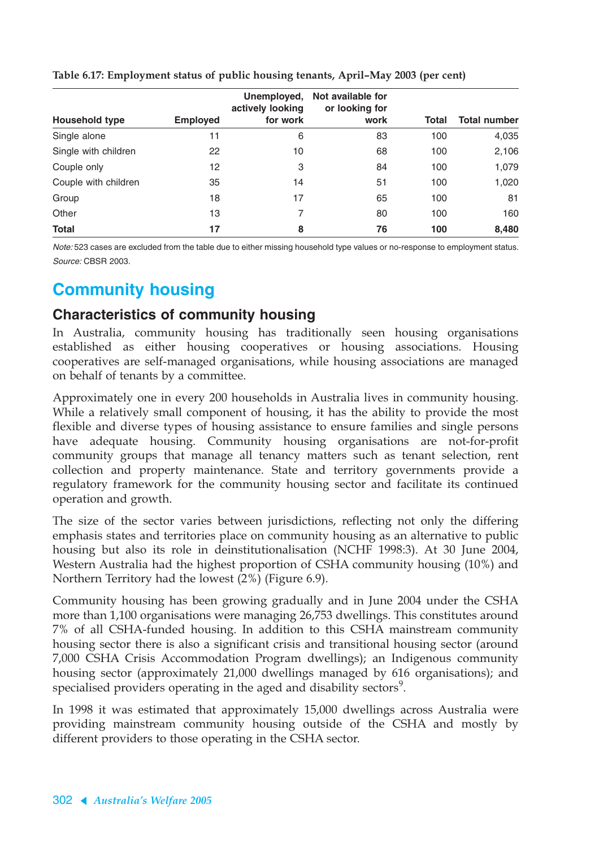|                       |                 | Unemployed,<br>actively looking | Not available for<br>or looking for |       |                     |
|-----------------------|-----------------|---------------------------------|-------------------------------------|-------|---------------------|
| <b>Household type</b> | <b>Employed</b> | for work                        | work                                | Total | <b>Total number</b> |
| Single alone          | 11              | 6                               | 83                                  | 100   | 4,035               |
| Single with children  | 22              | 10                              | 68                                  | 100   | 2,106               |
| Couple only           | 12              | 3                               | 84                                  | 100   | 1,079               |
| Couple with children  | 35              | 14                              | 51                                  | 100   | 1,020               |
| Group                 | 18              | 17                              | 65                                  | 100   | 81                  |
| Other                 | 13              | 7                               | 80                                  | 100   | 160                 |
| <b>Total</b>          | 17              | 8                               | 76                                  | 100   | 8,480               |

#### **Table 6.17: Employment status of public housing tenants, April–May 2003 (per cent)**

Note: 523 cases are excluded from the table due to either missing household type values or no-response to employment status. Source: CBSR 2003.

## **Community housing**

#### **Characteristics of community housing**

In Australia, community housing has traditionally seen housing organisations established as either housing cooperatives or housing associations. Housing cooperatives are self-managed organisations, while housing associations are managed on behalf of tenants by a committee.

Approximately one in every 200 households in Australia lives in community housing. While a relatively small component of housing, it has the ability to provide the most flexible and diverse types of housing assistance to ensure families and single persons have adequate housing. Community housing organisations are not-for-profit community groups that manage all tenancy matters such as tenant selection, rent collection and property maintenance. State and territory governments provide a regulatory framework for the community housing sector and facilitate its continued operation and growth.

The size of the sector varies between jurisdictions, reflecting not only the differing emphasis states and territories place on community housing as an alternative to public housing but also its role in deinstitutionalisation (NCHF 1998:3). At 30 June 2004, Western Australia had the highest proportion of CSHA community housing (10%) and Northern Territory had the lowest (2%) (Figure 6.9).

Community housing has been growing gradually and in June 2004 under the CSHA more than 1,100 organisations were managing 26,753 dwellings. This constitutes around 7% of all CSHA-funded housing. In addition to this CSHA mainstream community housing sector there is also a significant crisis and transitional housing sector (around 7,000 CSHA Crisis Accommodation Program dwellings); an Indigenous community housing sector (approximately 21,000 dwellings managed by 616 organisations); and specialised providers operating in the aged and disability sectors $^9$ .

In 1998 it was estimated that approximately 15,000 dwellings across Australia were providing mainstream community housing outside of the CSHA and mostly by different providers to those operating in the CSHA sector.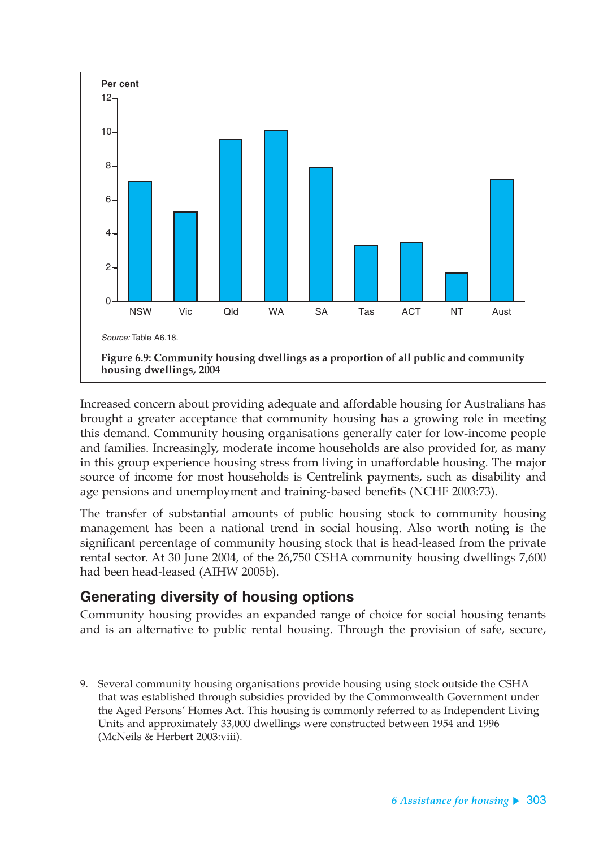

Increased concern about providing adequate and affordable housing for Australians has brought a greater acceptance that community housing has a growing role in meeting this demand. Community housing organisations generally cater for low-income people and families. Increasingly, moderate income households are also provided for, as many in this group experience housing stress from living in unaffordable housing. The major source of income for most households is Centrelink payments, such as disability and age pensions and unemployment and training-based benefits (NCHF 2003:73).

The transfer of substantial amounts of public housing stock to community housing management has been a national trend in social housing. Also worth noting is the significant percentage of community housing stock that is head-leased from the private rental sector. At 30 June 2004, of the 26,750 CSHA community housing dwellings 7,600 had been head-leased (AIHW 2005b).

## **Generating diversity of housing options**

Community housing provides an expanded range of choice for social housing tenants and is an alternative to public rental housing. Through the provision of safe, secure,

<sup>9.</sup> Several community housing organisations provide housing using stock outside the CSHA that was established through subsidies provided by the Commonwealth Government under the Aged Persons' Homes Act. This housing is commonly referred to as Independent Living Units and approximately 33,000 dwellings were constructed between 1954 and 1996 (McNeils & Herbert 2003:viii).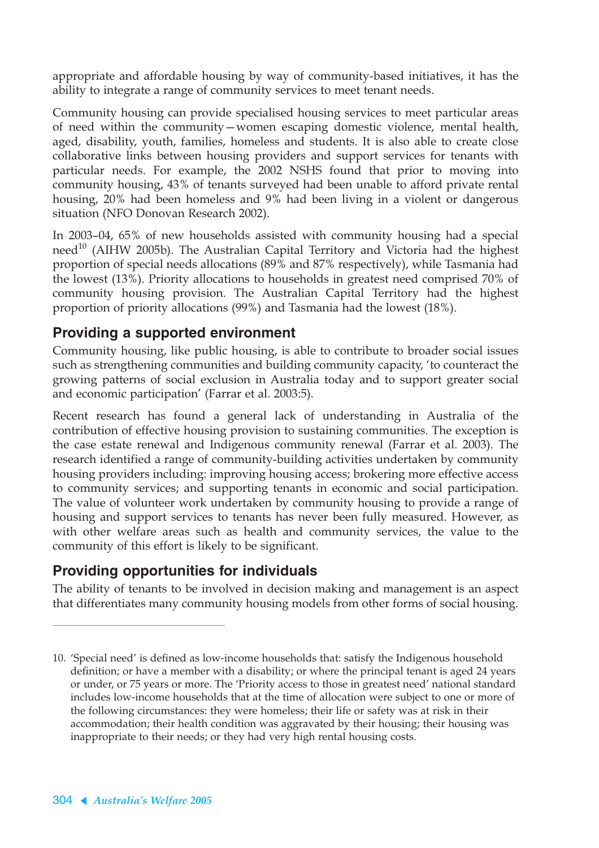appropriate and affordable housing by way of community-based initiatives, it has the ability to integrate a range of community services to meet tenant needs.

Community housing can provide specialised housing services to meet particular areas of need within the community—women escaping domestic violence, mental health, aged, disability, youth, families, homeless and students. It is also able to create close collaborative links between housing providers and support services for tenants with particular needs. For example, the 2002 NSHS found that prior to moving into community housing, 43% of tenants surveyed had been unable to afford private rental housing, 20% had been homeless and 9% had been living in a violent or dangerous situation (NFO Donovan Research 2002).

In 2003–04, 65% of new households assisted with community housing had a special need<sup>10</sup> (AIHW 2005b). The Australian Capital Territory and Victoria had the highest proportion of special needs allocations (89% and 87% respectively), while Tasmania had the lowest (13%). Priority allocations to households in greatest need comprised 70% of community housing provision. The Australian Capital Territory had the highest proportion of priority allocations (99%) and Tasmania had the lowest (18%).

#### **Providing a supported environment**

Community housing, like public housing, is able to contribute to broader social issues such as strengthening communities and building community capacity, 'to counteract the growing patterns of social exclusion in Australia today and to support greater social and economic participation' (Farrar et al. 2003:5).

Recent research has found a general lack of understanding in Australia of the contribution of effective housing provision to sustaining communities. The exception is the case estate renewal and Indigenous community renewal (Farrar et al. 2003). The research identified a range of community-building activities undertaken by community housing providers including: improving housing access; brokering more effective access to community services; and supporting tenants in economic and social participation. The value of volunteer work undertaken by community housing to provide a range of housing and support services to tenants has never been fully measured. However, as with other welfare areas such as health and community services, the value to the community of this effort is likely to be significant.

### **Providing opportunities for individuals**

The ability of tenants to be involved in decision making and management is an aspect that differentiates many community housing models from other forms of social housing.

<sup>10. &#</sup>x27;Special need' is defined as low-income households that: satisfy the Indigenous household definition; or have a member with a disability; or where the principal tenant is aged 24 years or under, or 75 years or more. The 'Priority access to those in greatest need' national standard includes low-income households that at the time of allocation were subject to one or more of the following circumstances: they were homeless; their life or safety was at risk in their accommodation; their health condition was aggravated by their housing; their housing was inappropriate to their needs; or they had very high rental housing costs.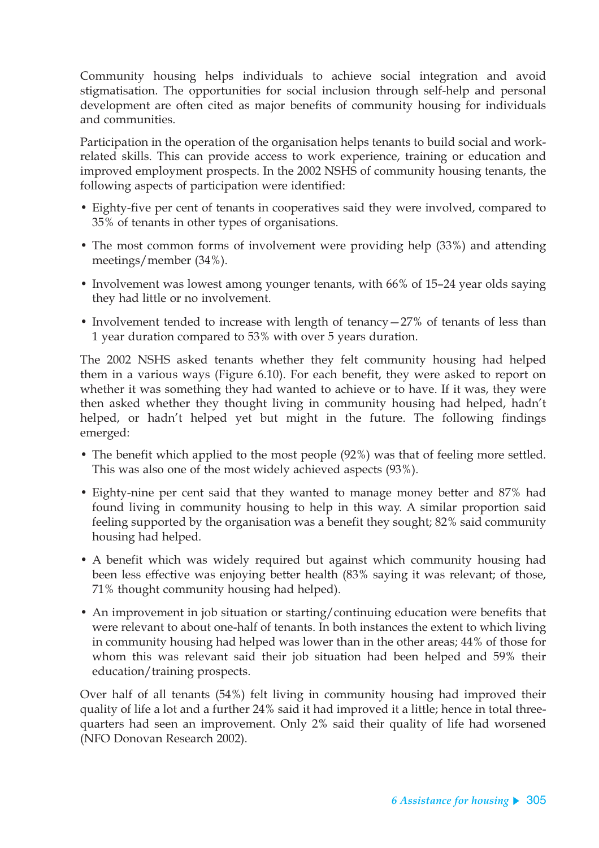Community housing helps individuals to achieve social integration and avoid stigmatisation. The opportunities for social inclusion through self-help and personal development are often cited as major benefits of community housing for individuals and communities.

Participation in the operation of the organisation helps tenants to build social and workrelated skills. This can provide access to work experience, training or education and improved employment prospects. In the 2002 NSHS of community housing tenants, the following aspects of participation were identified:

- Eighty-five per cent of tenants in cooperatives said they were involved, compared to 35% of tenants in other types of organisations.
- The most common forms of involvement were providing help (33%) and attending meetings/member (34%).
- Involvement was lowest among younger tenants, with 66% of 15–24 year olds saying they had little or no involvement.
- Involvement tended to increase with length of tenancy $-27%$  of tenants of less than 1 year duration compared to 53% with over 5 years duration.

The 2002 NSHS asked tenants whether they felt community housing had helped them in a various ways (Figure 6.10). For each benefit, they were asked to report on whether it was something they had wanted to achieve or to have. If it was, they were then asked whether they thought living in community housing had helped, hadn't helped, or hadn't helped yet but might in the future. The following findings emerged:

- The benefit which applied to the most people (92%) was that of feeling more settled. This was also one of the most widely achieved aspects (93%).
- Eighty-nine per cent said that they wanted to manage money better and 87% had found living in community housing to help in this way. A similar proportion said feeling supported by the organisation was a benefit they sought; 82% said community housing had helped.
- A benefit which was widely required but against which community housing had been less effective was enjoying better health (83% saying it was relevant; of those, 71% thought community housing had helped).
- An improvement in job situation or starting/continuing education were benefits that were relevant to about one-half of tenants. In both instances the extent to which living in community housing had helped was lower than in the other areas; 44% of those for whom this was relevant said their job situation had been helped and 59% their education/training prospects.

Over half of all tenants (54%) felt living in community housing had improved their quality of life a lot and a further 24% said it had improved it a little; hence in total threequarters had seen an improvement. Only 2% said their quality of life had worsened (NFO Donovan Research 2002).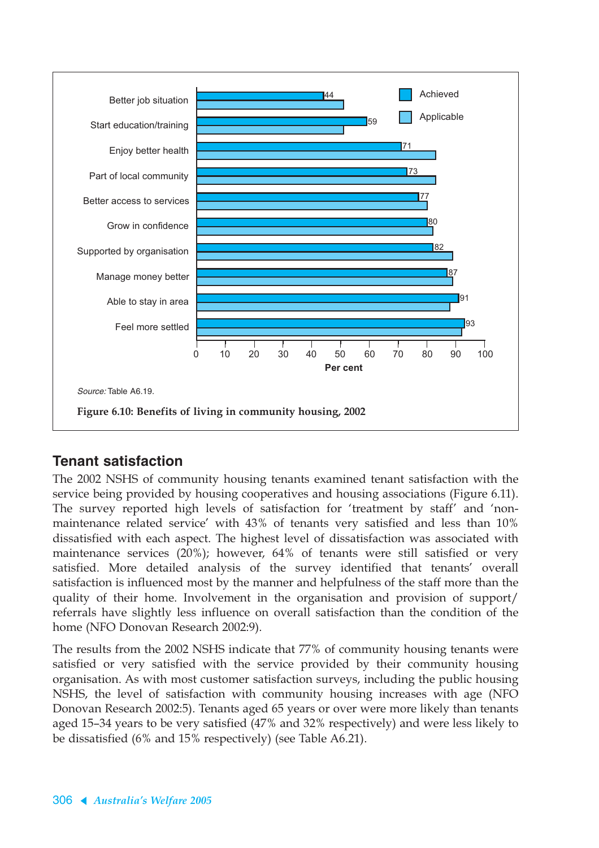

## **Tenant satisfaction**

The 2002 NSHS of community housing tenants examined tenant satisfaction with the service being provided by housing cooperatives and housing associations (Figure 6.11). The survey reported high levels of satisfaction for 'treatment by staff' and 'nonmaintenance related service' with 43% of tenants very satisfied and less than 10% dissatisfied with each aspect. The highest level of dissatisfaction was associated with maintenance services (20%); however, 64% of tenants were still satisfied or very satisfied. More detailed analysis of the survey identified that tenants' overall satisfaction is influenced most by the manner and helpfulness of the staff more than the quality of their home. Involvement in the organisation and provision of support/ referrals have slightly less influence on overall satisfaction than the condition of the home (NFO Donovan Research 2002:9).

The results from the 2002 NSHS indicate that 77% of community housing tenants were satisfied or very satisfied with the service provided by their community housing organisation. As with most customer satisfaction surveys, including the public housing NSHS, the level of satisfaction with community housing increases with age (NFO Donovan Research 2002:5). Tenants aged 65 years or over were more likely than tenants aged 15–34 years to be very satisfied (47% and 32% respectively) and were less likely to be dissatisfied (6% and 15% respectively) (see Table A6.21).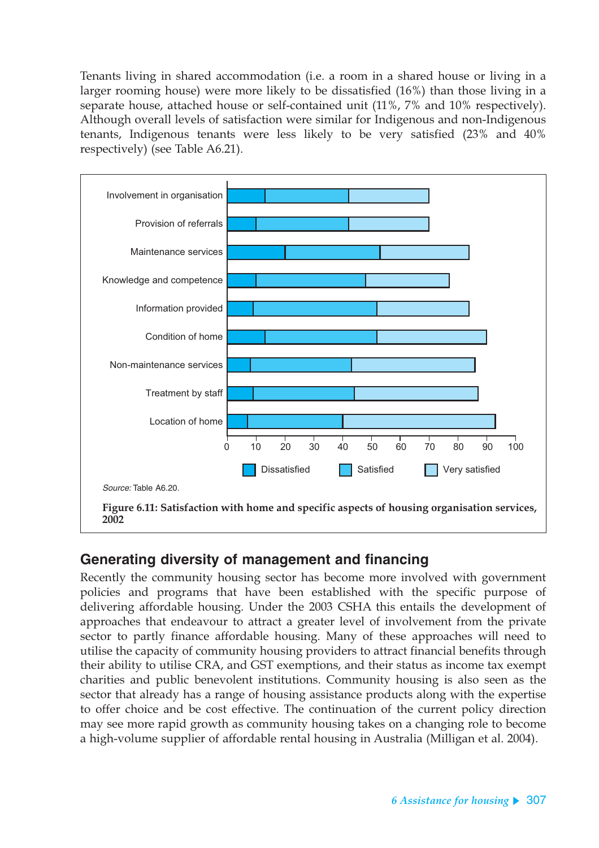Tenants living in shared accommodation (i.e. a room in a shared house or living in a larger rooming house) were more likely to be dissatisfied (16%) than those living in a separate house, attached house or self-contained unit (11%, 7% and 10% respectively). Although overall levels of satisfaction were similar for Indigenous and non-Indigenous tenants, Indigenous tenants were less likely to be very satisfied (23% and 40% respectively) (see Table A6.21).



### **Generating diversity of management and financing**

Recently the community housing sector has become more involved with government policies and programs that have been established with the specific purpose of delivering affordable housing. Under the 2003 CSHA this entails the development of approaches that endeavour to attract a greater level of involvement from the private sector to partly finance affordable housing. Many of these approaches will need to utilise the capacity of community housing providers to attract financial benefits through their ability to utilise CRA, and GST exemptions, and their status as income tax exempt charities and public benevolent institutions. Community housing is also seen as the sector that already has a range of housing assistance products along with the expertise to offer choice and be cost effective. The continuation of the current policy direction may see more rapid growth as community housing takes on a changing role to become a high-volume supplier of affordable rental housing in Australia (Milligan et al. 2004).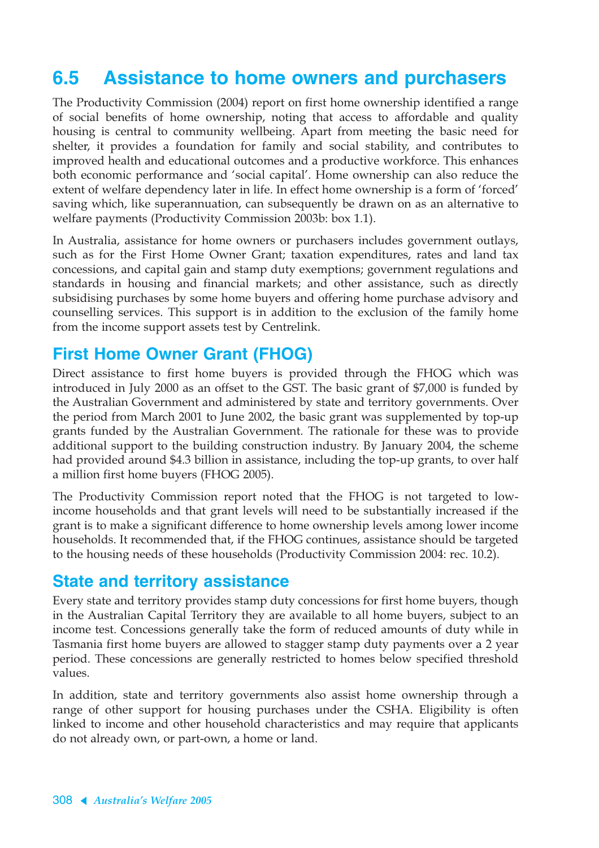# **6.5 Assistance to home owners and purchasers**

The Productivity Commission (2004) report on first home ownership identified a range of social benefits of home ownership, noting that access to affordable and quality housing is central to community wellbeing. Apart from meeting the basic need for shelter, it provides a foundation for family and social stability, and contributes to improved health and educational outcomes and a productive workforce. This enhances both economic performance and 'social capital'. Home ownership can also reduce the extent of welfare dependency later in life. In effect home ownership is a form of 'forced' saving which, like superannuation, can subsequently be drawn on as an alternative to welfare payments (Productivity Commission 2003b: box 1.1).

In Australia, assistance for home owners or purchasers includes government outlays, such as for the First Home Owner Grant; taxation expenditures, rates and land tax concessions, and capital gain and stamp duty exemptions; government regulations and standards in housing and financial markets; and other assistance, such as directly subsidising purchases by some home buyers and offering home purchase advisory and counselling services. This support is in addition to the exclusion of the family home from the income support assets test by Centrelink.

## **First Home Owner Grant (FHOG)**

Direct assistance to first home buyers is provided through the FHOG which was introduced in July 2000 as an offset to the GST. The basic grant of \$7,000 is funded by the Australian Government and administered by state and territory governments. Over the period from March 2001 to June 2002, the basic grant was supplemented by top-up grants funded by the Australian Government. The rationale for these was to provide additional support to the building construction industry. By January 2004, the scheme had provided around \$4.3 billion in assistance, including the top-up grants, to over half a million first home buyers (FHOG 2005).

The Productivity Commission report noted that the FHOG is not targeted to lowincome households and that grant levels will need to be substantially increased if the grant is to make a significant difference to home ownership levels among lower income households. It recommended that, if the FHOG continues, assistance should be targeted to the housing needs of these households (Productivity Commission 2004: rec. 10.2).

## **State and territory assistance**

Every state and territory provides stamp duty concessions for first home buyers, though in the Australian Capital Territory they are available to all home buyers, subject to an income test. Concessions generally take the form of reduced amounts of duty while in Tasmania first home buyers are allowed to stagger stamp duty payments over a 2 year period. These concessions are generally restricted to homes below specified threshold values.

In addition, state and territory governments also assist home ownership through a range of other support for housing purchases under the CSHA. Eligibility is often linked to income and other household characteristics and may require that applicants do not already own, or part-own, a home or land.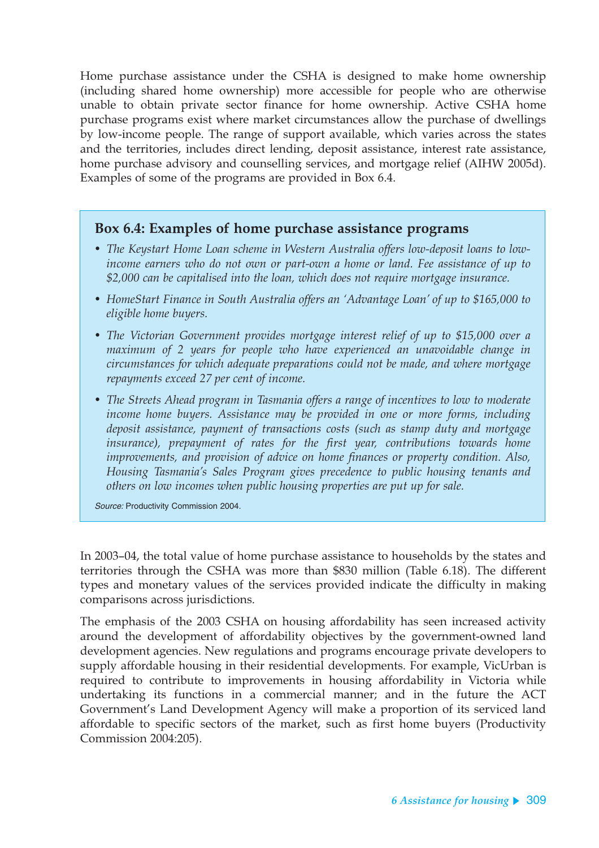Home purchase assistance under the CSHA is designed to make home ownership (including shared home ownership) more accessible for people who are otherwise unable to obtain private sector finance for home ownership. Active CSHA home purchase programs exist where market circumstances allow the purchase of dwellings by low-income people. The range of support available, which varies across the states and the territories, includes direct lending, deposit assistance, interest rate assistance, home purchase advisory and counselling services, and mortgage relief (AIHW 2005d). Examples of some of the programs are provided in Box 6.4.

#### **Box 6.4: Examples of home purchase assistance programs**

- *The Keystart Home Loan scheme in Western Australia offers low-deposit loans to lowincome earners who do not own or part-own a home or land. Fee assistance of up to \$2,000 can be capitalised into the loan, which does not require mortgage insurance.*
- *HomeStart Finance in South Australia offers an 'Advantage Loan' of up to \$165,000 to eligible home buyers.*
- *The Victorian Government provides mortgage interest relief of up to \$15,000 over a maximum of 2 years for people who have experienced an unavoidable change in circumstances for which adequate preparations could not be made, and where mortgage repayments exceed 27 per cent of income.*
- *The Streets Ahead program in Tasmania offers a range of incentives to low to moderate income home buyers. Assistance may be provided in one or more forms, including deposit assistance, payment of transactions costs (such as stamp duty and mortgage insurance), prepayment of rates for the first year, contributions towards home improvements, and provision of advice on home finances or property condition. Also, Housing Tasmania's Sales Program gives precedence to public housing tenants and others on low incomes when public housing properties are put up for sale.*

Source: Productivity Commission 2004.

In 2003–04, the total value of home purchase assistance to households by the states and territories through the CSHA was more than \$830 million (Table 6.18). The different types and monetary values of the services provided indicate the difficulty in making comparisons across jurisdictions.

The emphasis of the 2003 CSHA on housing affordability has seen increased activity around the development of affordability objectives by the government-owned land development agencies. New regulations and programs encourage private developers to supply affordable housing in their residential developments. For example, VicUrban is required to contribute to improvements in housing affordability in Victoria while undertaking its functions in a commercial manner; and in the future the ACT Government's Land Development Agency will make a proportion of its serviced land affordable to specific sectors of the market, such as first home buyers (Productivity Commission 2004:205).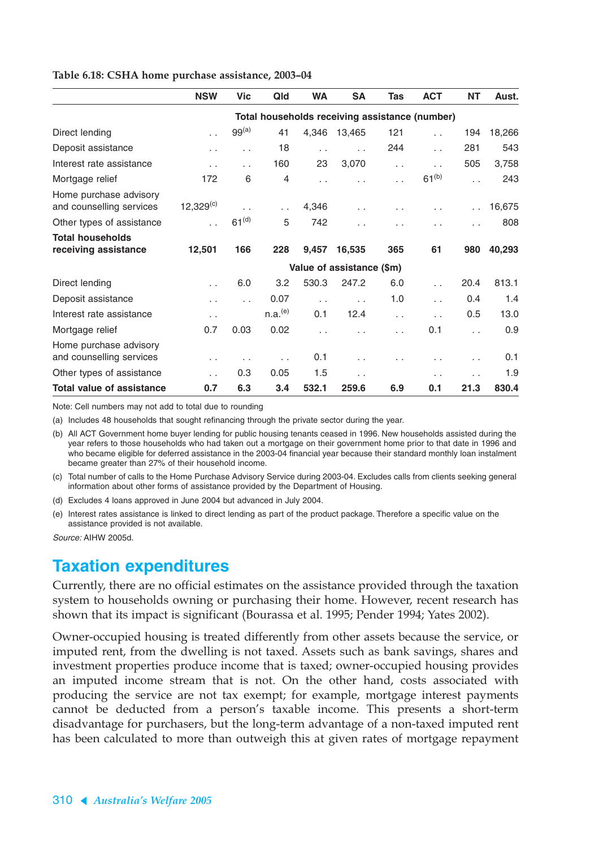|                                                    | <b>NSW</b>                                     | <b>Vic</b>        | Qld                 | <b>WA</b>            | <b>SA</b>            | Tas                  | <b>ACT</b>           | <b>NT</b>            | Aust.  |
|----------------------------------------------------|------------------------------------------------|-------------------|---------------------|----------------------|----------------------|----------------------|----------------------|----------------------|--------|
|                                                    | Total households receiving assistance (number) |                   |                     |                      |                      |                      |                      |                      |        |
| Direct lending                                     | $\ddotsc$                                      | 99 <sup>(a)</sup> | 41                  | 4,346                | 13,465               | 121                  | $\ddot{\phantom{a}}$ | 194                  | 18,266 |
| Deposit assistance                                 | .,                                             | . .               | 18                  | Ω.                   | $\ddot{\phantom{a}}$ | 244                  | $\ddot{\phantom{0}}$ | 281                  | 543    |
| Interest rate assistance                           | $\ddotsc$                                      | . .               | 160                 | 23                   | 3,070                | $\ddot{\phantom{a}}$ | $\sim$               | 505                  | 3,758  |
| Mortgage relief                                    | 172                                            | 6                 | 4                   | . .                  |                      | $\sim$               | $61^{(b)}$           |                      | 243    |
| Home purchase advisory<br>and counselling services | $12,329^{(c)}$                                 | . .               | .,                  | 4,346                | $\ddot{\phantom{0}}$ | $\sim$               | $\ddot{\phantom{1}}$ |                      | 16,675 |
| Other types of assistance                          | $\ddot{\phantom{a}}$                           | 61 <sup>(d)</sup> | 5                   | 742                  | . .                  |                      |                      |                      | 808    |
| <b>Total households</b><br>receiving assistance    | 12,501                                         | 166               | 228                 | 9,457                | 16,535               | 365                  | 61                   | 980                  | 40,293 |
|                                                    | Value of assistance (\$m)                      |                   |                     |                      |                      |                      |                      |                      |        |
| Direct lending                                     | $\mathbf{r}$                                   | 6.0               | 3.2                 | 530.3                | 247.2                | 6.0                  | $\sim$               | 20.4                 | 813.1  |
| Deposit assistance                                 |                                                | . .               | 0.07                | $\ddot{\phantom{a}}$ | $\ddot{\phantom{a}}$ | 1.0                  | . .                  | 0.4                  | 1.4    |
| Interest rate assistance                           | $\ddotsc$                                      |                   | n.a. <sup>(e)</sup> | 0.1                  | 12.4                 | $\sim$               | $\cdot$ $\cdot$      | 0.5                  | 13.0   |
| Mortgage relief                                    | 0.7                                            | 0.03              | 0.02                | $\ddot{\phantom{a}}$ |                      | $\ddotsc$            | 0.1                  | $\ddot{\phantom{a}}$ | 0.9    |
| Home purchase advisory<br>and counselling services | $\sim$                                         |                   | . .                 | 0.1                  | $\ddot{\phantom{0}}$ |                      |                      |                      | 0.1    |
| Other types of assistance                          | И.                                             | 0.3               | 0.05                | 1.5                  | $\cdot$ .            |                      |                      |                      | 1.9    |
| <b>Total value of assistance</b>                   | 0.7                                            | 6.3               | 3.4                 | 532.1                | 259.6                | 6.9                  | 0.1                  | 21.3                 | 830.4  |
|                                                    |                                                |                   |                     |                      |                      |                      |                      |                      |        |

#### **Table 6.18: CSHA home purchase assistance, 2003–04**

Note: Cell numbers may not add to total due to rounding

(a) Includes 48 households that sought refinancing through the private sector during the year.

(b) All ACT Government home buyer lending for public housing tenants ceased in 1996. New households assisted during the year refers to those households who had taken out a mortgage on their government home prior to that date in 1996 and who became eligible for deferred assistance in the 2003-04 financial year because their standard monthly loan instalment became greater than 27% of their household income.

(c) Total number of calls to the Home Purchase Advisory Service during 2003-04. Excludes calls from clients seeking general information about other forms of assistance provided by the Department of Housing.

(d) Excludes 4 loans approved in June 2004 but advanced in July 2004.

(e) Interest rates assistance is linked to direct lending as part of the product package. Therefore a specific value on the assistance provided is not available.

Source: AIHW 2005d.

### **Taxation expenditures**

Currently, there are no official estimates on the assistance provided through the taxation system to households owning or purchasing their home. However, recent research has shown that its impact is significant (Bourassa et al. 1995; Pender 1994; Yates 2002).

Owner-occupied housing is treated differently from other assets because the service, or imputed rent, from the dwelling is not taxed. Assets such as bank savings, shares and investment properties produce income that is taxed; owner-occupied housing provides an imputed income stream that is not. On the other hand, costs associated with producing the service are not tax exempt; for example, mortgage interest payments cannot be deducted from a person's taxable income. This presents a short-term disadvantage for purchasers, but the long-term advantage of a non-taxed imputed rent has been calculated to more than outweigh this at given rates of mortgage repayment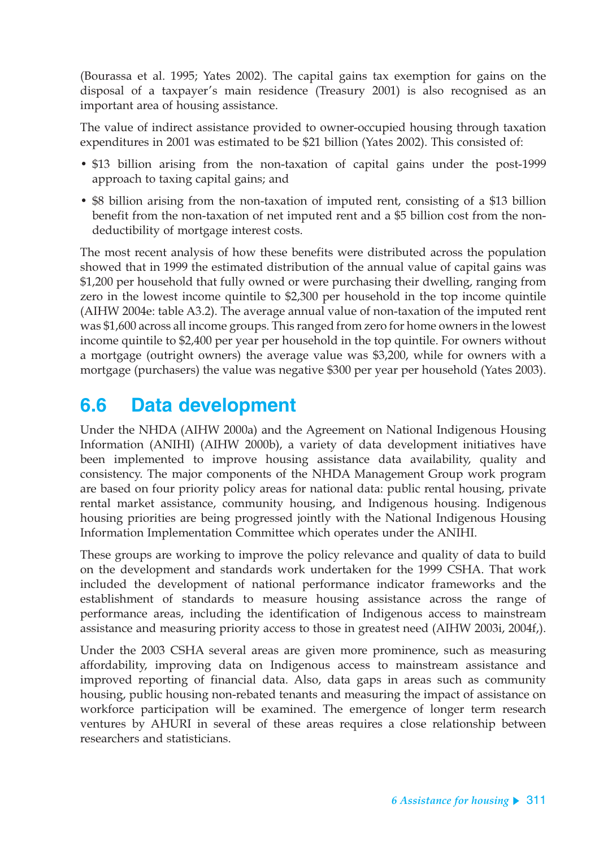(Bourassa et al. 1995; Yates 2002). The capital gains tax exemption for gains on the disposal of a taxpayer's main residence (Treasury 2001) is also recognised as an important area of housing assistance.

The value of indirect assistance provided to owner-occupied housing through taxation expenditures in 2001 was estimated to be \$21 billion (Yates 2002). This consisted of:

- \$13 billion arising from the non-taxation of capital gains under the post-1999 approach to taxing capital gains; and
- \$8 billion arising from the non-taxation of imputed rent, consisting of a \$13 billion benefit from the non-taxation of net imputed rent and a \$5 billion cost from the nondeductibility of mortgage interest costs.

The most recent analysis of how these benefits were distributed across the population showed that in 1999 the estimated distribution of the annual value of capital gains was \$1,200 per household that fully owned or were purchasing their dwelling, ranging from zero in the lowest income quintile to \$2,300 per household in the top income quintile (AIHW 2004e: table A3.2). The average annual value of non-taxation of the imputed rent was \$1,600 across all income groups. This ranged from zero for home owners in the lowest income quintile to \$2,400 per year per household in the top quintile. For owners without a mortgage (outright owners) the average value was \$3,200, while for owners with a mortgage (purchasers) the value was negative \$300 per year per household (Yates 2003).

# **6.6 Data development**

Under the NHDA (AIHW 2000a) and the Agreement on National Indigenous Housing Information (ANIHI) (AIHW 2000b), a variety of data development initiatives have been implemented to improve housing assistance data availability, quality and consistency. The major components of the NHDA Management Group work program are based on four priority policy areas for national data: public rental housing, private rental market assistance, community housing, and Indigenous housing. Indigenous housing priorities are being progressed jointly with the National Indigenous Housing Information Implementation Committee which operates under the ANIHI.

These groups are working to improve the policy relevance and quality of data to build on the development and standards work undertaken for the 1999 CSHA. That work included the development of national performance indicator frameworks and the establishment of standards to measure housing assistance across the range of performance areas, including the identification of Indigenous access to mainstream assistance and measuring priority access to those in greatest need (AIHW 2003i, 2004f,).

Under the 2003 CSHA several areas are given more prominence, such as measuring affordability, improving data on Indigenous access to mainstream assistance and improved reporting of financial data. Also, data gaps in areas such as community housing, public housing non-rebated tenants and measuring the impact of assistance on workforce participation will be examined. The emergence of longer term research ventures by AHURI in several of these areas requires a close relationship between researchers and statisticians.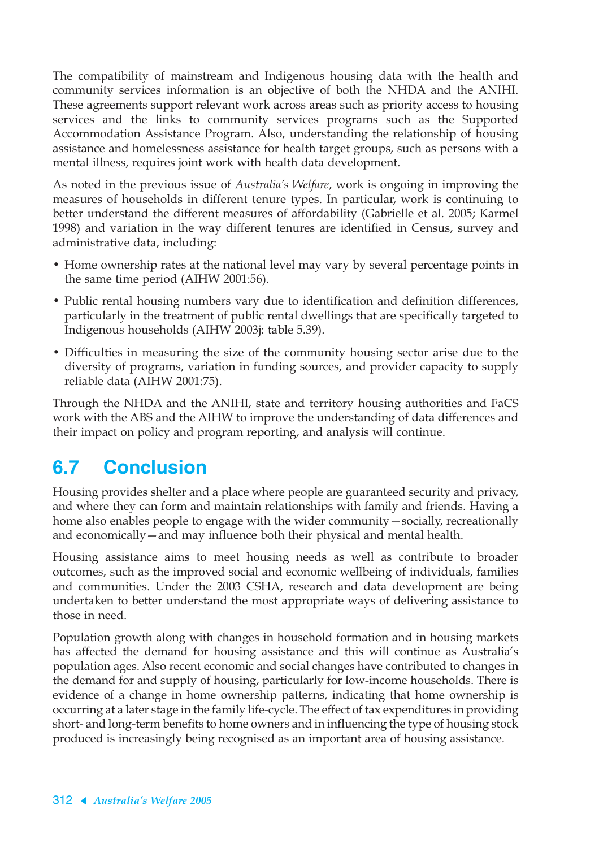The compatibility of mainstream and Indigenous housing data with the health and community services information is an objective of both the NHDA and the ANIHI. These agreements support relevant work across areas such as priority access to housing services and the links to community services programs such as the Supported Accommodation Assistance Program. Also, understanding the relationship of housing assistance and homelessness assistance for health target groups, such as persons with a mental illness, requires joint work with health data development.

As noted in the previous issue of *Australia's Welfare*, work is ongoing in improving the measures of households in different tenure types. In particular, work is continuing to better understand the different measures of affordability (Gabrielle et al. 2005; Karmel 1998) and variation in the way different tenures are identified in Census, survey and administrative data, including:

- Home ownership rates at the national level may vary by several percentage points in the same time period (AIHW 2001:56).
- Public rental housing numbers vary due to identification and definition differences, particularly in the treatment of public rental dwellings that are specifically targeted to Indigenous households (AIHW 2003j: table 5.39).
- Difficulties in measuring the size of the community housing sector arise due to the diversity of programs, variation in funding sources, and provider capacity to supply reliable data (AIHW 2001:75).

Through the NHDA and the ANIHI, state and territory housing authorities and FaCS work with the ABS and the AIHW to improve the understanding of data differences and their impact on policy and program reporting, and analysis will continue.

# **6.7 Conclusion**

Housing provides shelter and a place where people are guaranteed security and privacy, and where they can form and maintain relationships with family and friends. Having a home also enables people to engage with the wider community—socially, recreationally and economically—and may influence both their physical and mental health.

Housing assistance aims to meet housing needs as well as contribute to broader outcomes, such as the improved social and economic wellbeing of individuals, families and communities. Under the 2003 CSHA, research and data development are being undertaken to better understand the most appropriate ways of delivering assistance to those in need.

Population growth along with changes in household formation and in housing markets has affected the demand for housing assistance and this will continue as Australia's population ages. Also recent economic and social changes have contributed to changes in the demand for and supply of housing, particularly for low-income households. There is evidence of a change in home ownership patterns, indicating that home ownership is occurring at a later stage in the family life-cycle. The effect of tax expenditures in providing short- and long-term benefits to home owners and in influencing the type of housing stock produced is increasingly being recognised as an important area of housing assistance.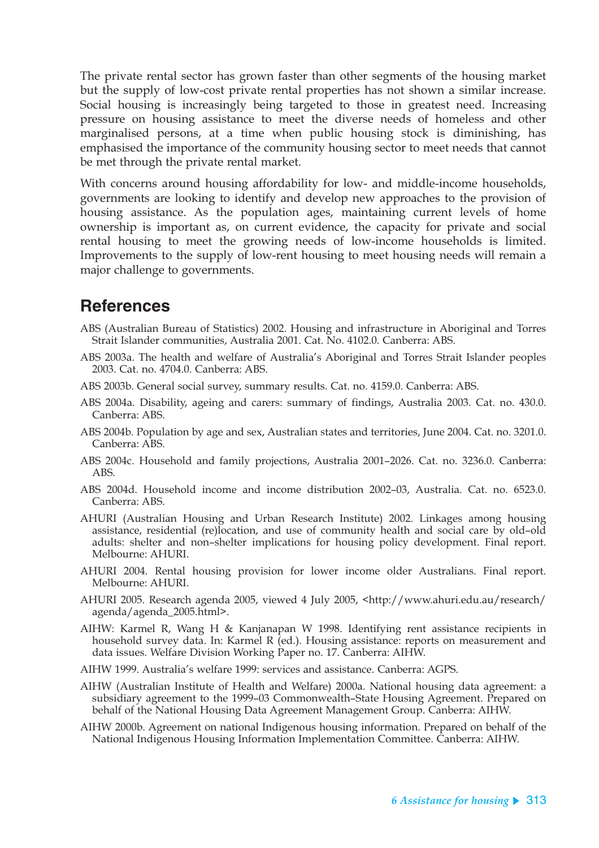The private rental sector has grown faster than other segments of the housing market but the supply of low-cost private rental properties has not shown a similar increase. Social housing is increasingly being targeted to those in greatest need. Increasing pressure on housing assistance to meet the diverse needs of homeless and other marginalised persons, at a time when public housing stock is diminishing, has emphasised the importance of the community housing sector to meet needs that cannot be met through the private rental market.

With concerns around housing affordability for low- and middle-income households, governments are looking to identify and develop new approaches to the provision of housing assistance. As the population ages, maintaining current levels of home ownership is important as, on current evidence, the capacity for private and social rental housing to meet the growing needs of low-income households is limited. Improvements to the supply of low-rent housing to meet housing needs will remain a major challenge to governments.

## **References**

- ABS (Australian Bureau of Statistics) 2002. Housing and infrastructure in Aboriginal and Torres Strait Islander communities, Australia 2001. Cat. No. 4102.0. Canberra: ABS.
- ABS 2003a. The health and welfare of Australia's Aboriginal and Torres Strait Islander peoples 2003. Cat. no. 4704.0. Canberra: ABS.
- ABS 2003b. General social survey, summary results. Cat. no. 4159.0. Canberra: ABS.
- ABS 2004a. Disability, ageing and carers: summary of findings, Australia 2003. Cat. no. 430.0. Canberra: ABS.
- ABS 2004b. Population by age and sex, Australian states and territories, June 2004. Cat. no. 3201.0. Canberra: ABS.
- ABS 2004c. Household and family projections, Australia 2001–2026. Cat. no. 3236.0. Canberra: ABS.
- ABS 2004d. Household income and income distribution 2002–03, Australia. Cat. no. 6523.0. Canberra: ABS.
- AHURI (Australian Housing and Urban Research Institute) 2002. Linkages among housing assistance, residential (re)location, and use of community health and social care by old–old adults: shelter and non–shelter implications for housing policy development. Final report. Melbourne: AHURI.
- AHURI 2004. Rental housing provision for lower income older Australians. Final report. Melbourne: AHURI.
- AHURI 2005. Research agenda 2005, viewed 4 July 2005, <http://www.ahuri.edu.au/research/ agenda/agenda\_2005.html>.
- AIHW: Karmel R, Wang H & Kanjanapan W 1998. Identifying rent assistance recipients in household survey data. In: Karmel R (ed.). Housing assistance: reports on measurement and data issues. Welfare Division Working Paper no. 17. Canberra: AIHW.
- AIHW 1999. Australia's welfare 1999: services and assistance. Canberra: AGPS.
- AIHW (Australian Institute of Health and Welfare) 2000a. National housing data agreement: a subsidiary agreement to the 1999-03 Commonwealth-State Housing Agreement. Prepared on behalf of the National Housing Data Agreement Management Group. Canberra: AIHW.
- AIHW 2000b. Agreement on national Indigenous housing information. Prepared on behalf of the National Indigenous Housing Information Implementation Committee. Canberra: AIHW.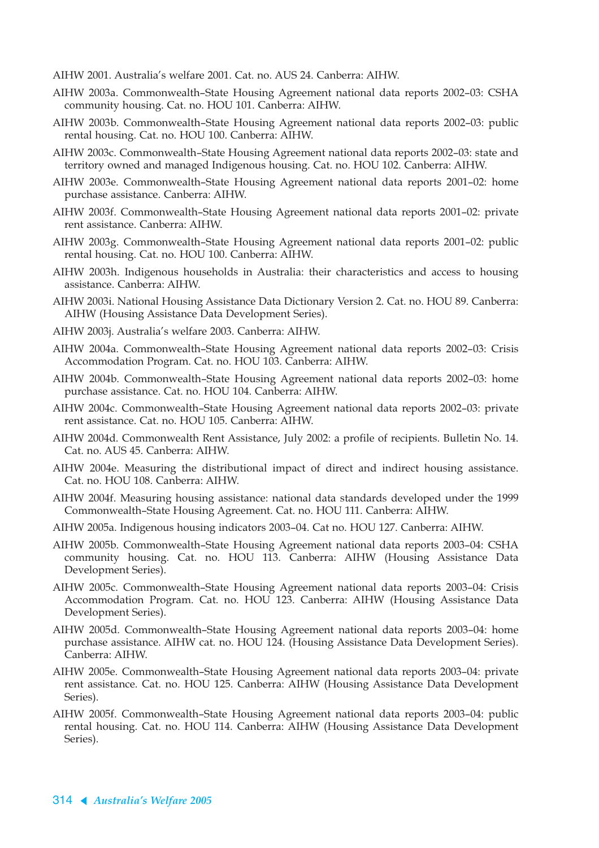- AIHW 2001. Australia's welfare 2001. Cat. no. AUS 24. Canberra: AIHW.
- AIHW 2003a. Commonwealth–State Housing Agreement national data reports 2002–03: CSHA community housing. Cat. no. HOU 101. Canberra: AIHW.
- AIHW 2003b. Commonwealth–State Housing Agreement national data reports 2002–03: public rental housing. Cat. no. HOU 100. Canberra: AIHW.
- AIHW 2003c. Commonwealth–State Housing Agreement national data reports 2002–03: state and territory owned and managed Indigenous housing. Cat. no. HOU 102. Canberra: AIHW.
- AIHW 2003e. Commonwealth–State Housing Agreement national data reports 2001–02: home purchase assistance. Canberra: AIHW.
- AIHW 2003f. Commonwealth–State Housing Agreement national data reports 2001–02: private rent assistance. Canberra: AIHW.
- AIHW 2003g. Commonwealth–State Housing Agreement national data reports 2001–02: public rental housing. Cat. no. HOU 100. Canberra: AIHW.
- AIHW 2003h. Indigenous households in Australia: their characteristics and access to housing assistance. Canberra: AIHW.
- AIHW 2003i. National Housing Assistance Data Dictionary Version 2. Cat. no. HOU 89. Canberra: AIHW (Housing Assistance Data Development Series).
- AIHW 2003j. Australia's welfare 2003. Canberra: AIHW.
- AIHW 2004a. Commonwealth–State Housing Agreement national data reports 2002–03: Crisis Accommodation Program. Cat. no. HOU 103. Canberra: AIHW.
- AIHW 2004b. Commonwealth–State Housing Agreement national data reports 2002–03: home purchase assistance. Cat. no. HOU 104. Canberra: AIHW.
- AIHW 2004c. Commonwealth–State Housing Agreement national data reports 2002–03: private rent assistance. Cat. no. HOU 105. Canberra: AIHW.
- AIHW 2004d. Commonwealth Rent Assistance, July 2002: a profile of recipients. Bulletin No. 14. Cat. no. AUS 45. Canberra: AIHW.
- AIHW 2004e. Measuring the distributional impact of direct and indirect housing assistance. Cat. no. HOU 108. Canberra: AIHW.
- AIHW 2004f. Measuring housing assistance: national data standards developed under the 1999 Commonwealth–State Housing Agreement. Cat. no. HOU 111. Canberra: AIHW.
- AIHW 2005a. Indigenous housing indicators 2003–04. Cat no. HOU 127. Canberra: AIHW.
- AIHW 2005b. Commonwealth–State Housing Agreement national data reports 2003–04: CSHA community housing. Cat. no. HOU 113. Canberra: AIHW (Housing Assistance Data Development Series).
- AIHW 2005c. Commonwealth–State Housing Agreement national data reports 2003–04: Crisis Accommodation Program. Cat. no. HOU 123. Canberra: AIHW (Housing Assistance Data Development Series).
- AIHW 2005d. Commonwealth–State Housing Agreement national data reports 2003–04: home purchase assistance. AIHW cat. no. HOU 124. (Housing Assistance Data Development Series). Canberra: AIHW.
- AIHW 2005e. Commonwealth–State Housing Agreement national data reports 2003–04: private rent assistance. Cat. no. HOU 125. Canberra: AIHW (Housing Assistance Data Development Series).
- AIHW 2005f. Commonwealth–State Housing Agreement national data reports 2003–04: public rental housing. Cat. no. HOU 114. Canberra: AIHW (Housing Assistance Data Development Series).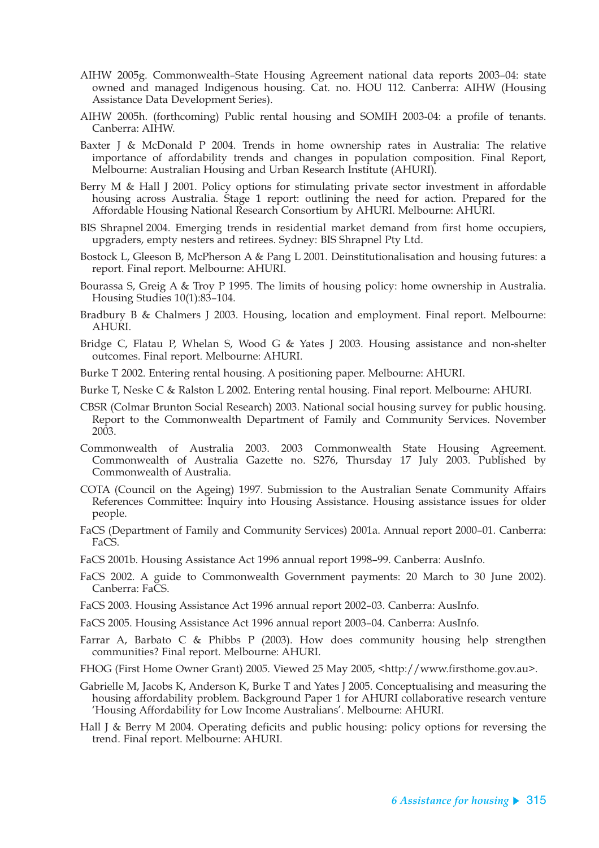- AIHW 2005g. Commonwealth–State Housing Agreement national data reports 2003–04: state owned and managed Indigenous housing. Cat. no. HOU 112. Canberra: AIHW (Housing Assistance Data Development Series).
- AIHW 2005h. (forthcoming) Public rental housing and SOMIH 2003-04: a profile of tenants. Canberra: AIHW.
- Baxter J & McDonald P 2004. Trends in home ownership rates in Australia: The relative importance of affordability trends and changes in population composition. Final Report, Melbourne: Australian Housing and Urban Research Institute (AHURI).
- Berry M & Hall J 2001. Policy options for stimulating private sector investment in affordable housing across Australia. Stage 1 report: outlining the need for action. Prepared for the Affordable Housing National Research Consortium by AHURI. Melbourne: AHURI.
- BIS Shrapnel 2004. Emerging trends in residential market demand from first home occupiers, upgraders, empty nesters and retirees. Sydney: BIS Shrapnel Pty Ltd.
- Bostock L, Gleeson B, McPherson A & Pang L 2001. Deinstitutionalisation and housing futures: a report. Final report. Melbourne: AHURI.
- Bourassa S, Greig A & Troy P 1995. The limits of housing policy: home ownership in Australia. Housing Studies 10(1):83–104.
- Bradbury B & Chalmers J 2003. Housing, location and employment. Final report. Melbourne: AHURI.
- Bridge C, Flatau P, Whelan S, Wood G & Yates J 2003. Housing assistance and non-shelter outcomes. Final report. Melbourne: AHURI.
- Burke T 2002. Entering rental housing. A positioning paper. Melbourne: AHURI.
- Burke T, Neske C & Ralston L 2002. Entering rental housing. Final report. Melbourne: AHURI.
- CBSR (Colmar Brunton Social Research) 2003. National social housing survey for public housing. Report to the Commonwealth Department of Family and Community Services. November 2003.
- Commonwealth of Australia 2003. 2003 Commonwealth State Housing Agreement. Commonwealth of Australia Gazette no. S276, Thursday 17 July 2003. Published by Commonwealth of Australia.
- COTA (Council on the Ageing) 1997. Submission to the Australian Senate Community Affairs References Committee: Inquiry into Housing Assistance. Housing assistance issues for older people.
- FaCS (Department of Family and Community Services) 2001a. Annual report 2000–01. Canberra: FaCS.
- FaCS 2001b. Housing Assistance Act 1996 annual report 1998–99. Canberra: AusInfo.
- FaCS 2002. A guide to Commonwealth Government payments: 20 March to 30 June 2002). Canberra: FaCS.
- FaCS 2003. Housing Assistance Act 1996 annual report 2002–03. Canberra: AusInfo.
- FaCS 2005. Housing Assistance Act 1996 annual report 2003–04. Canberra: AusInfo.
- Farrar A, Barbato C & Phibbs P (2003). How does community housing help strengthen communities? Final report. Melbourne: AHURI.
- FHOG (First Home Owner Grant) 2005. Viewed 25 May 2005, <http://www.firsthome.gov.au>.
- Gabrielle M, Jacobs K, Anderson K, Burke T and Yates J 2005. Conceptualising and measuring the housing affordability problem. Background Paper 1 for AHURI collaborative research venture 'Housing Affordability for Low Income Australians'. Melbourne: AHURI.
- Hall J & Berry M 2004. Operating deficits and public housing: policy options for reversing the trend. Final report. Melbourne: AHURI.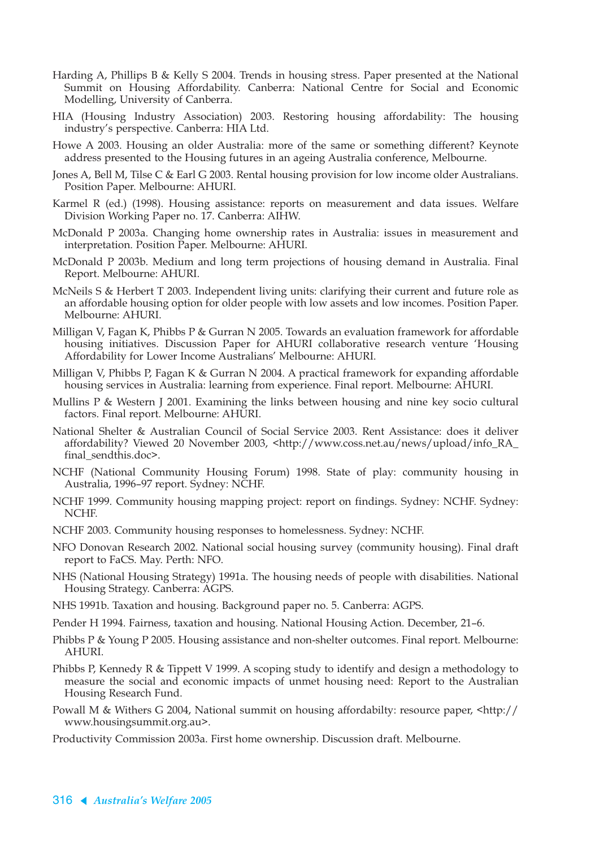- Harding A, Phillips B & Kelly S 2004. Trends in housing stress. Paper presented at the National Summit on Housing Affordability. Canberra: National Centre for Social and Economic Modelling, University of Canberra.
- HIA (Housing Industry Association) 2003. Restoring housing affordability: The housing industry's perspective. Canberra: HIA Ltd.
- Howe A 2003. Housing an older Australia: more of the same or something different? Keynote address presented to the Housing futures in an ageing Australia conference, Melbourne.
- Jones A, Bell M, Tilse C & Earl G 2003. Rental housing provision for low income older Australians. Position Paper. Melbourne: AHURI.
- Karmel R (ed.) (1998). Housing assistance: reports on measurement and data issues. Welfare Division Working Paper no. 17. Canberra: AIHW.
- McDonald P 2003a. Changing home ownership rates in Australia: issues in measurement and interpretation. Position Paper. Melbourne: AHURI.
- McDonald P 2003b. Medium and long term projections of housing demand in Australia. Final Report. Melbourne: AHURI.
- McNeils S & Herbert T 2003. Independent living units: clarifying their current and future role as an affordable housing option for older people with low assets and low incomes. Position Paper. Melbourne: AHURI.
- Milligan V, Fagan K, Phibbs P & Gurran N 2005. Towards an evaluation framework for affordable housing initiatives. Discussion Paper for AHURI collaborative research venture 'Housing Affordability for Lower Income Australians' Melbourne: AHURI.
- Milligan V, Phibbs P, Fagan K & Gurran N 2004. A practical framework for expanding affordable housing services in Australia: learning from experience. Final report. Melbourne: AHURI.
- Mullins P & Western J 2001. Examining the links between housing and nine key socio cultural factors. Final report. Melbourne: AHURI.
- National Shelter & Australian Council of Social Service 2003. Rent Assistance: does it deliver affordability? Viewed 20 November 2003, <http://www.coss.net.au/news/upload/info\_RA\_ final\_sendthis.doc>.
- NCHF (National Community Housing Forum) 1998. State of play: community housing in Australia, 1996–97 report. Sydney: NCHF.
- NCHF 1999. Community housing mapping project: report on findings. Sydney: NCHF. Sydney: NCHF.
- NCHF 2003. Community housing responses to homelessness. Sydney: NCHF.
- NFO Donovan Research 2002. National social housing survey (community housing). Final draft report to FaCS. May. Perth: NFO.
- NHS (National Housing Strategy) 1991a. The housing needs of people with disabilities. National Housing Strategy. Canberra: AGPS.
- NHS 1991b. Taxation and housing. Background paper no. 5. Canberra: AGPS.
- Pender H 1994. Fairness, taxation and housing. National Housing Action. December, 21–6.
- Phibbs P & Young P 2005. Housing assistance and non-shelter outcomes. Final report. Melbourne: AHURI.
- Phibbs P, Kennedy R & Tippett V 1999. A scoping study to identify and design a methodology to measure the social and economic impacts of unmet housing need: Report to the Australian Housing Research Fund.
- Powall M & Withers G 2004, National summit on housing affordabilty: resource paper, <http:// www.housingsummit.org.au>.
- Productivity Commission 2003a. First home ownership. Discussion draft. Melbourne.